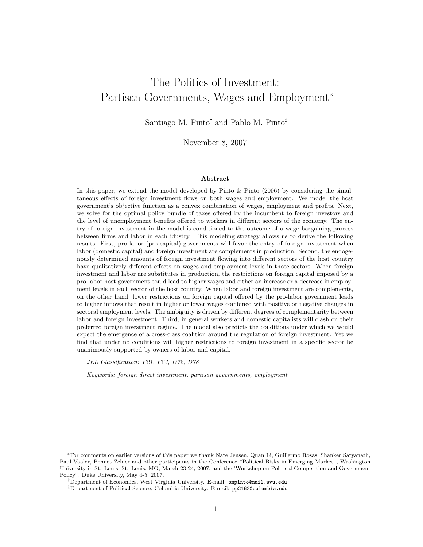# The Politics of Investment: Partisan Governments, Wages and Employment<sup>∗</sup>

Santiago M. Pinto† and Pablo M. Pinto‡

November 8, 2007

#### Abstract

In this paper, we extend the model developed by Pinto & Pinto (2006) by considering the simultaneous effects of foreign investment flows on both wages and employment. We model the host government's objective function as a convex combination of wages, employment and profits. Next, we solve for the optimal policy bundle of taxes offered by the incumbent to foreign investors and the level of unemployment benefits offered to workers in different sectors of the economy. The entry of foreign investment in the model is conditioned to the outcome of a wage bargaining process between firms and labor in each idustry. This modeling strategy allows us to derive the following results: First, pro-labor (pro-capital) governments will favor the entry of foreign investment when labor (domestic capital) and foreign investment are complements in production. Second, the endogenously determined amounts of foreign investment flowing into different sectors of the host country have qualitatively different effects on wages and employment levels in those sectors. When foreign investment and labor are substitutes in production, the restrictions on foreign capital imposed by a pro-labor host government could lead to higher wages and either an increase or a decrease in employment levels in each sector of the host country. When labor and foreign investment are complements, on the other hand, lower restrictions on foreign capital offered by the pro-labor government leads to higher inflows that result in higher or lower wages combined with positive or negative changes in sectoral employment levels. The ambiguity is driven by different degrees of complementarity between labor and foreign investment. Third, in general workers and domestic capitalists will clash on their preferred foreign investment regime. The model also predicts the conditions under which we would expect the emergence of a cross-class coalition around the regulation of foreign investment. Yet we find that under no conditions will higher restrictions to foreign investment in a specific sector be unanimously supported by owners of labor and capital.

JEL Classification: F21, F23, D72, D78

Keywords: foreign direct investment, partisan governments, employment

<sup>∗</sup>For comments on earlier versions of this paper we thank Nate Jensen, Quan Li, Guillermo Rosas, Shanker Satyanath, Paul Vaaler, Bennet Zelner and other participants in the Conference "Political Risks in Emerging Market", Washington University in St. Louis, St. Louis, MO, March 23-24, 2007, and the 'Workshop on Political Competition and Government Policy", Duke University, May 4-5, 2007.

<sup>†</sup>Department of Economics, West Virginia University. E-mail: smpinto@mail.wvu.edu

<sup>‡</sup>Department of Political Science, Columbia University. E-mail: pp2162@columbia.edu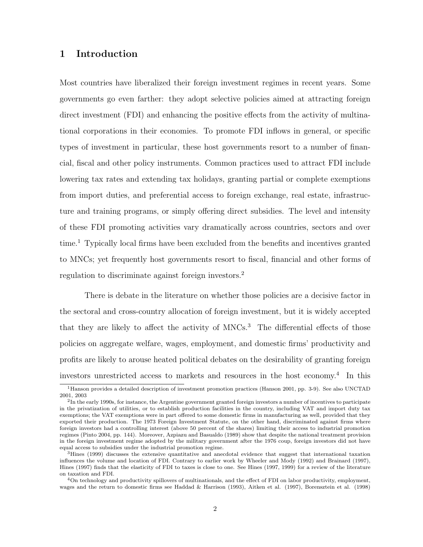## 1 Introduction

Most countries have liberalized their foreign investment regimes in recent years. Some governments go even farther: they adopt selective policies aimed at attracting foreign direct investment (FDI) and enhancing the positive effects from the activity of multinational corporations in their economies. To promote FDI inflows in general, or specific types of investment in particular, these host governments resort to a number of financial, fiscal and other policy instruments. Common practices used to attract FDI include lowering tax rates and extending tax holidays, granting partial or complete exemptions from import duties, and preferential access to foreign exchange, real estate, infrastructure and training programs, or simply offering direct subsidies. The level and intensity of these FDI promoting activities vary dramatically across countries, sectors and over time.<sup>1</sup> Typically local firms have been excluded from the benefits and incentives granted to MNCs; yet frequently host governments resort to fiscal, financial and other forms of regulation to discriminate against foreign investors.<sup>2</sup>

There is debate in the literature on whether those policies are a decisive factor in the sectoral and cross-country allocation of foreign investment, but it is widely accepted that they are likely to affect the activity of MNCs.<sup>3</sup> The differential effects of those policies on aggregate welfare, wages, employment, and domestic firms' productivity and profits are likely to arouse heated political debates on the desirability of granting foreign investors unrestricted access to markets and resources in the host economy.<sup>4</sup> In this

<sup>1</sup>Hanson provides a detailed description of investment promotion practices (Hanson 2001, pp. 3-9). See also UNCTAD 2001, 2003

<sup>&</sup>lt;sup>2</sup>In the early 1990s, for instance, the Argentine government granted foreign investors a number of incentives to participate in the privatization of utilities, or to establish production facilities in the country, including VAT and import duty tax exemptions; the VAT exemptions were in part offered to some domestic firms in manufacturing as well, provided that they exported their production. The 1973 Foreign Investment Statute, on the other hand, discriminated against firms where foreign investors had a controlling interest (above 50 percent of the shares) limiting their access to industrial promotion regimes (Pinto 2004, pp. 144). Moreover, Azpiazu and Basualdo (1989) show that despite the national treatment provision in the foreign investment regime adopted by the military government after the 1976 coup, foreign investors did not have equal access to subsidies under the industrial promotion regime.

<sup>3</sup>Hines (1999) discusses the extensive quantitative and anecdotal evidence that suggest that international taxation influences the volume and location of FDI. Contrary to earlier work by Wheeler and Mody (1992) and Brainard (1997), Hines (1997) finds that the elasticity of FDI to taxes is close to one. See Hines (1997, 1999) for a review of the literature on taxation and FDI.

<sup>4</sup>On technology and productivity spillovers of multinationals, and the effect of FDI on labor productivity, employment, wages and the return to domestic firms see Haddad & Harrison (1993), Aitken et al. (1997), Borensztein et al. (1998)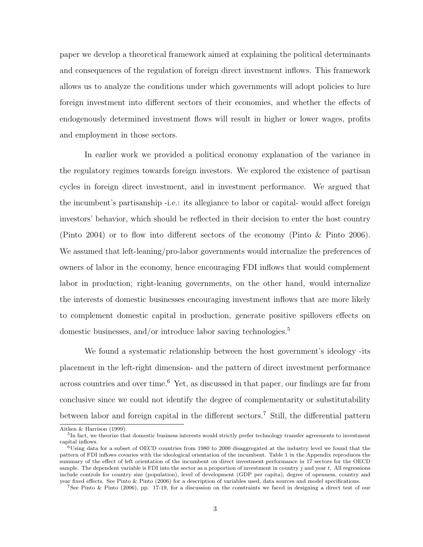paper we develop a theoretical framework aimed at explaining the political determinants and consequences of the regulation of foreign direct investment inflows. This framework allows us to analyze the conditions under which governments will adopt policies to lure foreign investment into different sectors of their economies, and whether the effects of endogenously determined investment flows will result in higher or lower wages, profits and employment in those sectors.

In earlier work we provided a political economy explanation of the variance in the regulatory regimes towards foreign investors. We explored the existence of partisan cycles in foreign direct investment, and in investment performance. We argued that the incumbent's partisanship -i.e.: its allegiance to labor or capital- would affect foreign investors' behavior, which should be reflected in their decision to enter the host country (Pinto 2004) or to flow into different sectors of the economy (Pinto & Pinto 2006). We assumed that left-leaning/pro-labor governments would internalize the preferences of owners of labor in the economy, hence encouraging FDI inflows that would complement labor in production; right-leaning governments, on the other hand, would internalize the interests of domestic businesses encouraging investment inflows that are more likely to complement domestic capital in production, generate positive spillovers effects on domestic businesses, and/or introduce labor saving technologies.<sup>5</sup>

We found a systematic relationship between the host government's ideology -its placement in the left-right dimension- and the pattern of direct investment performance across countries and over time.<sup>6</sup> Yet, as discussed in that paper, our findings are far from conclusive since we could not identify the degree of complementarity or substitutability between labor and foreign capital in the different sectors.<sup>7</sup> Still, the differential pattern

Aitken & Harrison (1999).

<sup>&</sup>lt;sup>5</sup>In fact, we theorize that domestic business interests would strictly prefer technology transfer agreements to investment capital inflows.

 $6$ Using data for a subset of OECD countries from 1980 to 2000 disaggregated at the industry level we found that the pattern of FDI inflows covaries with the ideological orientation of the incumbent. Table 1 in the Appendix reproduces the summary of the effect of left orientation of the incumbent on direct investment performance in 17 sectors for the OECD sample. The dependent variable is FDI into the sector as a proportion of investment in country  $j$  and year  $t$ . All regressions include controls for country size (population), level of development (GDP per capita), degree of openness, country and year fixed effects. See Pinto & Pinto (2006) for a description of variables used, data sources and model specifications.

<sup>7</sup>See Pinto & Pinto (2006), pp. 17-19, for a discussion on the constraints we faced in designing a direct test of our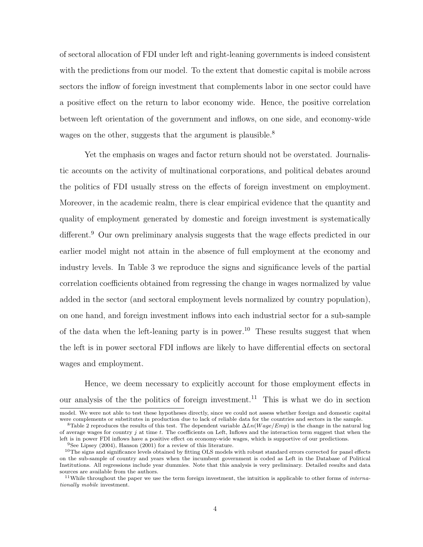of sectoral allocation of FDI under left and right-leaning governments is indeed consistent with the predictions from our model. To the extent that domestic capital is mobile across sectors the inflow of foreign investment that complements labor in one sector could have a positive effect on the return to labor economy wide. Hence, the positive correlation between left orientation of the government and inflows, on one side, and economy-wide wages on the other, suggests that the argument is plausible.<sup>8</sup>

Yet the emphasis on wages and factor return should not be overstated. Journalistic accounts on the activity of multinational corporations, and political debates around the politics of FDI usually stress on the effects of foreign investment on employment. Moreover, in the academic realm, there is clear empirical evidence that the quantity and quality of employment generated by domestic and foreign investment is systematically different.<sup>9</sup> Our own preliminary analysis suggests that the wage effects predicted in our earlier model might not attain in the absence of full employment at the economy and industry levels. In Table 3 we reproduce the signs and significance levels of the partial correlation coefficients obtained from regressing the change in wages normalized by value added in the sector (and sectoral employment levels normalized by country population), on one hand, and foreign investment inflows into each industrial sector for a sub-sample of the data when the left-leaning party is in power.<sup>10</sup> These results suggest that when the left is in power sectoral FDI inflows are likely to have differential effects on sectoral wages and employment.

Hence, we deem necessary to explicitly account for those employment effects in our analysis of the the politics of foreign investment.<sup>11</sup> This is what we do in section

model. We were not able to test these hypotheses directly, since we could not assess whether foreign and domestic capital were complements or substitutes in production due to lack of reliable data for the countries and sectors in the sample.

<sup>&</sup>lt;sup>8</sup>Table 2 reproduces the results of this test. The dependent variable  $\Delta Ln(Wage/Emp)$  is the change in the natural log of average wages for country j at time t. The coefficients on Left, Inflows and the interaction term suggest that when the left is in power FDI inflows have a positive effect on economy-wide wages, which is supportive of our predictions.

<sup>9</sup>See Lipsey (2004), Hanson (2001) for a review of this literature.

 $10$ The signs and significance levels obtained by fitting OLS models with robust standard errors corrected for panel effects on the sub-sample of country and years when the incumbent government is coded as Left in the Database of Political Institutions. All regressions include year dummies. Note that this analysis is very preliminary. Detailed results and data sources are available from the authors.

<sup>&</sup>lt;sup>11</sup>While throughout the paper we use the term foreign investment, the intuition is applicable to other forms of *interna*tionally mobile investment.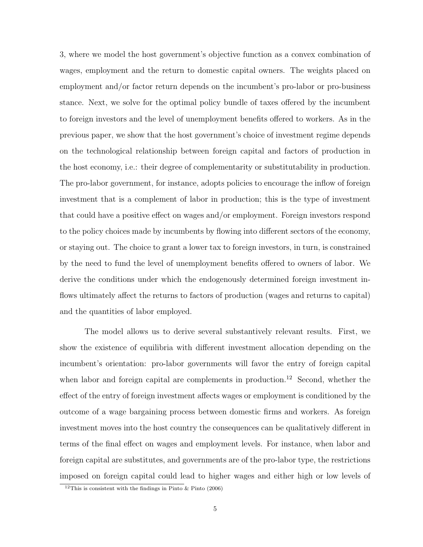3, where we model the host government's objective function as a convex combination of wages, employment and the return to domestic capital owners. The weights placed on employment and/or factor return depends on the incumbent's pro-labor or pro-business stance. Next, we solve for the optimal policy bundle of taxes offered by the incumbent to foreign investors and the level of unemployment benefits offered to workers. As in the previous paper, we show that the host government's choice of investment regime depends on the technological relationship between foreign capital and factors of production in the host economy, i.e.: their degree of complementarity or substitutability in production. The pro-labor government, for instance, adopts policies to encourage the inflow of foreign investment that is a complement of labor in production; this is the type of investment that could have a positive effect on wages and/or employment. Foreign investors respond to the policy choices made by incumbents by flowing into different sectors of the economy, or staying out. The choice to grant a lower tax to foreign investors, in turn, is constrained by the need to fund the level of unemployment benefits offered to owners of labor. We derive the conditions under which the endogenously determined foreign investment inflows ultimately affect the returns to factors of production (wages and returns to capital) and the quantities of labor employed.

The model allows us to derive several substantively relevant results. First, we show the existence of equilibria with different investment allocation depending on the incumbent's orientation: pro-labor governments will favor the entry of foreign capital when labor and foreign capital are complements in production.<sup>12</sup> Second, whether the effect of the entry of foreign investment affects wages or employment is conditioned by the outcome of a wage bargaining process between domestic firms and workers. As foreign investment moves into the host country the consequences can be qualitatively different in terms of the final effect on wages and employment levels. For instance, when labor and foreign capital are substitutes, and governments are of the pro-labor type, the restrictions imposed on foreign capital could lead to higher wages and either high or low levels of

<sup>&</sup>lt;sup>12</sup>This is consistent with the findings in Pinto  $\&$  Pinto (2006)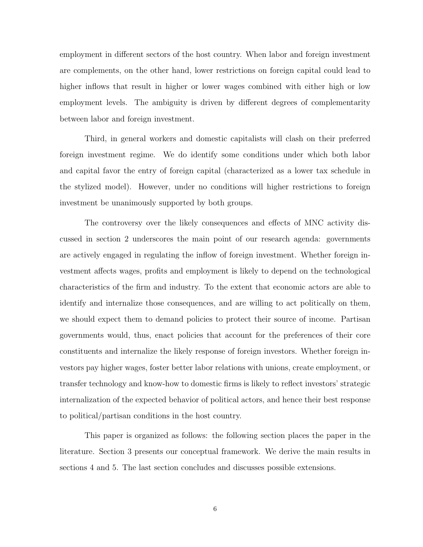employment in different sectors of the host country. When labor and foreign investment are complements, on the other hand, lower restrictions on foreign capital could lead to higher inflows that result in higher or lower wages combined with either high or low employment levels. The ambiguity is driven by different degrees of complementarity between labor and foreign investment.

Third, in general workers and domestic capitalists will clash on their preferred foreign investment regime. We do identify some conditions under which both labor and capital favor the entry of foreign capital (characterized as a lower tax schedule in the stylized model). However, under no conditions will higher restrictions to foreign investment be unanimously supported by both groups.

The controversy over the likely consequences and effects of MNC activity discussed in section 2 underscores the main point of our research agenda: governments are actively engaged in regulating the inflow of foreign investment. Whether foreign investment affects wages, profits and employment is likely to depend on the technological characteristics of the firm and industry. To the extent that economic actors are able to identify and internalize those consequences, and are willing to act politically on them, we should expect them to demand policies to protect their source of income. Partisan governments would, thus, enact policies that account for the preferences of their core constituents and internalize the likely response of foreign investors. Whether foreign investors pay higher wages, foster better labor relations with unions, create employment, or transfer technology and know-how to domestic firms is likely to reflect investors' strategic internalization of the expected behavior of political actors, and hence their best response to political/partisan conditions in the host country.

This paper is organized as follows: the following section places the paper in the literature. Section 3 presents our conceptual framework. We derive the main results in sections 4 and 5. The last section concludes and discusses possible extensions.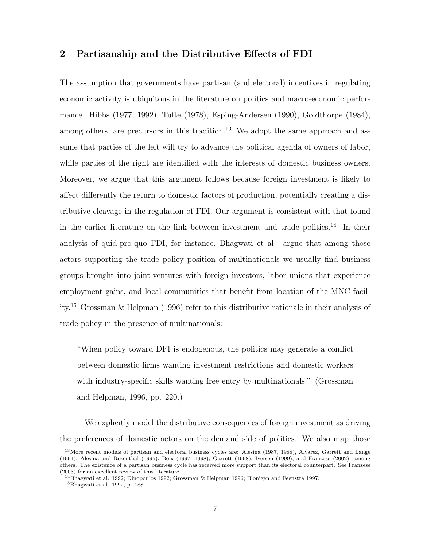## 2 Partisanship and the Distributive Effects of FDI

The assumption that governments have partisan (and electoral) incentives in regulating economic activity is ubiquitous in the literature on politics and macro-economic performance. Hibbs (1977, 1992), Tufte (1978), Esping-Andersen (1990), Goldthorpe (1984), among others, are precursors in this tradition.<sup>13</sup> We adopt the same approach and assume that parties of the left will try to advance the political agenda of owners of labor, while parties of the right are identified with the interests of domestic business owners. Moreover, we argue that this argument follows because foreign investment is likely to affect differently the return to domestic factors of production, potentially creating a distributive cleavage in the regulation of FDI. Our argument is consistent with that found in the earlier literature on the link between investment and trade politics.<sup>14</sup> In their analysis of quid-pro-quo FDI, for instance, Bhagwati et al. argue that among those actors supporting the trade policy position of multinationals we usually find business groups brought into joint-ventures with foreign investors, labor unions that experience employment gains, and local communities that benefit from location of the MNC facility.<sup>15</sup> Grossman & Helpman (1996) refer to this distributive rationale in their analysis of trade policy in the presence of multinationals:

"When policy toward DFI is endogenous, the politics may generate a conflict between domestic firms wanting investment restrictions and domestic workers with industry-specific skills wanting free entry by multinationals." (Grossman and Helpman, 1996, pp. 220.)

We explicitly model the distributive consequences of foreign investment as driving the preferences of domestic actors on the demand side of politics. We also map those

<sup>&</sup>lt;sup>13</sup>More recent models of partisan and electoral business cycles are: Alesina (1987, 1988), Alvarez, Garrett and Lange (1991), Alesina and Rosenthal (1995), Boix (1997, 1998), Garrett (1998), Iversen (1999), and Franzese (2002), among others. The existence of a partisan business cycle has received more support than its electoral counterpart. See Franzese (2003) for an excellent review of this literature.

<sup>&</sup>lt;sup>14</sup>Bhagwati et al. 1992; Dinopoulos 1992; Grossman & Helpman 1996; Blonigen and Feenstra 1997.

<sup>15</sup>Bhagwati et al. 1992, p. 188.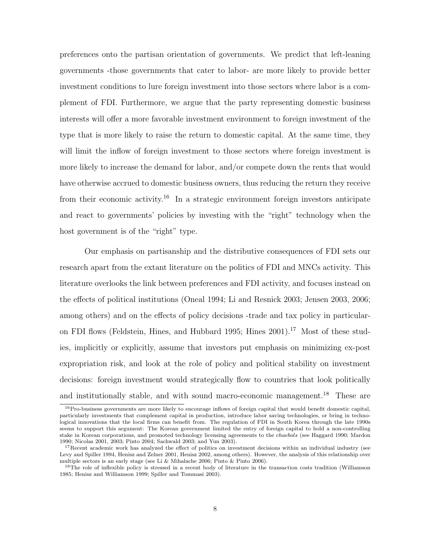preferences onto the partisan orientation of governments. We predict that left-leaning governments -those governments that cater to labor- are more likely to provide better investment conditions to lure foreign investment into those sectors where labor is a complement of FDI. Furthermore, we argue that the party representing domestic business interests will offer a more favorable investment environment to foreign investment of the type that is more likely to raise the return to domestic capital. At the same time, they will limit the inflow of foreign investment to those sectors where foreign investment is more likely to increase the demand for labor, and/or compete down the rents that would have otherwise accrued to domestic business owners, thus reducing the return they receive from their economic activity.<sup>16</sup> In a strategic environment foreign investors anticipate and react to governments' policies by investing with the "right" technology when the host government is of the "right" type.

Our emphasis on partisanship and the distributive consequences of FDI sets our research apart from the extant literature on the politics of FDI and MNCs activity. This literature overlooks the link between preferences and FDI activity, and focuses instead on the effects of political institutions (Oneal 1994; Li and Resnick 2003; Jensen 2003, 2006; among others) and on the effects of policy decisions -trade and tax policy in particularon FDI flows (Feldstein, Hines, and Hubbard 1995; Hines  $2001$ ).<sup>17</sup> Most of these studies, implicitly or explicitly, assume that investors put emphasis on minimizing ex-post expropriation risk, and look at the role of policy and political stability on investment decisions: foreign investment would strategically flow to countries that look politically and institutionally stable, and with sound macro-economic management.<sup>18</sup> These are

 $16$ Pro-business governments are more likely to encourage inflows of foreign capital that would benefit domestic capital, particularly investments that complement capital in production, introduce labor saving technologies, or bring in technological innovations that the local firms can benefit from. The regulation of FDI in South Korea through the late 1990s seems to support this argument: The Korean government limited the entry of foreign capital to hold a non-controlling stake in Korean corporations, and promoted technology licensing agreements to the chaebols (see Haggard 1990; Mardon 1990; Nicolas 2001, 2003; Pinto 2004; Sachwald 2003; and Yun 2003).

<sup>&</sup>lt;sup>17</sup>Recent academic work has analyzed the effect of politics on investment decisions within an individual industry (see Levy and Spiller 1994, Henisz and Zelner 2001, Henisz 2002, among others). However, the analysis of this relationship over multiple sectors is an early stage (see Li & Mihalache 2006; Pinto & Pinto 2006).

<sup>&</sup>lt;sup>18</sup>The role of inflexible policy is stressed in a recent body of literature in the transaction costs tradition (Williamson 1985; Henisz and Williamson 1999; Spiller and Tommasi 2003).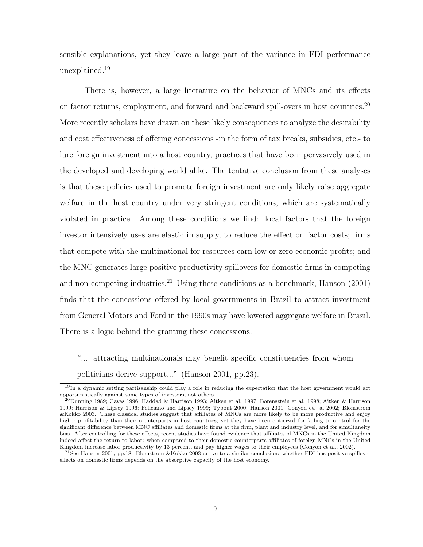sensible explanations, yet they leave a large part of the variance in FDI performance unexplained.<sup>19</sup>

There is, however, a large literature on the behavior of MNCs and its effects on factor returns, employment, and forward and backward spill-overs in host countries.<sup>20</sup> More recently scholars have drawn on these likely consequences to analyze the desirability and cost effectiveness of offering concessions -in the form of tax breaks, subsidies, etc.- to lure foreign investment into a host country, practices that have been pervasively used in the developed and developing world alike. The tentative conclusion from these analyses is that these policies used to promote foreign investment are only likely raise aggregate welfare in the host country under very stringent conditions, which are systematically violated in practice. Among these conditions we find: local factors that the foreign investor intensively uses are elastic in supply, to reduce the effect on factor costs; firms that compete with the multinational for resources earn low or zero economic profits; and the MNC generates large positive productivity spillovers for domestic firms in competing and non-competing industries.<sup>21</sup> Using these conditions as a benchmark, Hanson  $(2001)$ finds that the concessions offered by local governments in Brazil to attract investment from General Motors and Ford in the 1990s may have lowered aggregate welfare in Brazil. There is a logic behind the granting these concessions:

"... attracting multinationals may benefit specific constituencies from whom politicians derive support..." (Hanson 2001, pp.23).

<sup>19</sup>In a dynamic setting partisanship could play a role in reducing the expectation that the host government would act opportunistically against some types of investors, not others.

<sup>&</sup>lt;sup>20</sup>Dunning 1989; Caves 1996; Haddad & Harrison 1993; Aitken et al. 1997; Borensztein et al. 1998; Aitken & Harrison 1999; Harrison & Lipsey 1996; Feliciano and Lipsey 1999; Tybout 2000; Hanson 2001; Conyon et. al 2002; Blomstrom &Kokko 2003. These classical studies suggest that affiliates of MNCs are more likely to be more productive and enjoy higher profitability than their counterparts in host countries; yet they have been criticized for failing to control for the significant difference between MNC affiliates and domestic firms at the firm, plant and industry level, and for simultaneity bias. After controlling for these effects, recent studies have found evidence that affiliates of MNCs in the United Kingdom indeed affect the return to labor: when compared to their domestic counterparts affiliates of foreign MNCs in the United Kingdom increase labor productivity by 13 percent, and pay higher wages to their employees (Conyon et al., 2002).

<sup>&</sup>lt;sup>21</sup>See Hanson 2001, pp.18. Blomstrom &Kokko 2003 arrive to a similar conclusion: whether FDI has positive spillover effects on domestic firms depends on the absorptive capacity of the host economy.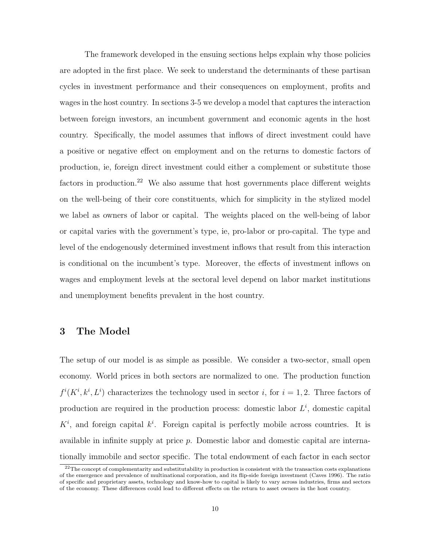The framework developed in the ensuing sections helps explain why those policies are adopted in the first place. We seek to understand the determinants of these partisan cycles in investment performance and their consequences on employment, profits and wages in the host country. In sections 3-5 we develop a model that captures the interaction between foreign investors, an incumbent government and economic agents in the host country. Specifically, the model assumes that inflows of direct investment could have a positive or negative effect on employment and on the returns to domestic factors of production, ie, foreign direct investment could either a complement or substitute those factors in production.<sup>22</sup> We also assume that host governments place different weights on the well-being of their core constituents, which for simplicity in the stylized model we label as owners of labor or capital. The weights placed on the well-being of labor or capital varies with the government's type, ie, pro-labor or pro-capital. The type and level of the endogenously determined investment inflows that result from this interaction is conditional on the incumbent's type. Moreover, the effects of investment inflows on wages and employment levels at the sectoral level depend on labor market institutions and unemployment benefits prevalent in the host country.

## 3 The Model

The setup of our model is as simple as possible. We consider a two-sector, small open economy. World prices in both sectors are normalized to one. The production function  $f^{i}(K^{i}, k^{i}, L^{i})$  characterizes the technology used in sector i, for  $i = 1, 2$ . Three factors of production are required in the production process: domestic labor  $L^i$ , domestic capital  $K^i$ , and foreign capital  $k^i$ . Foreign capital is perfectly mobile across countries. It is available in infinite supply at price p. Domestic labor and domestic capital are internationally immobile and sector specific. The total endowment of each factor in each sector

 $^{22}$ The concept of complementarity and substitutability in production is consistent with the transaction costs explanations of the emergence and prevalence of multinational corporation, and its flip-side foreign investment (Caves 1996). The ratio of specific and proprietary assets, technology and know-how to capital is likely to vary across industries, firms and sectors of the economy. These differences could lead to different effects on the return to asset owners in the host country.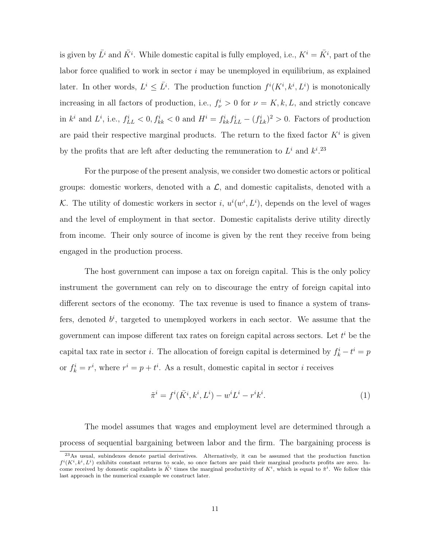is given by  $\bar{L}^i$  and  $\bar{K}^i$ . While domestic capital is fully employed, i.e.,  $K^i = \bar{K}^i$ , part of the labor force qualified to work in sector  $i$  may be unemployed in equilibrium, as explained later. In other words,  $L^i \leq \overline{L}^i$ . The production function  $f^i(K^i, k^i, L^i)$  is monotonically increasing in all factors of production, i.e.,  $f^i_\nu > 0$  for  $\nu = K, k, L$ , and strictly concave in  $k^i$  and  $L^i$ , i.e.,  $f_{LL}^i < 0$ ,  $f_{kk}^i < 0$  and  $H^i = f_{kk}^i f_{LL}^i - (f_{LK}^i)^2 > 0$ . Factors of production are paid their respective marginal products. The return to the fixed factor  $K^i$  is given by the profits that are left after deducting the remuneration to  $L^i$  and  $k^{i}$ .<sup>23</sup>

For the purpose of the present analysis, we consider two domestic actors or political groups: domestic workers, denoted with a  $\mathcal{L}$ , and domestic capitalists, denoted with a K. The utility of domestic workers in sector i,  $u^i(w^i, L^i)$ , depends on the level of wages and the level of employment in that sector. Domestic capitalists derive utility directly from income. Their only source of income is given by the rent they receive from being engaged in the production process.

The host government can impose a tax on foreign capital. This is the only policy instrument the government can rely on to discourage the entry of foreign capital into different sectors of the economy. The tax revenue is used to finance a system of transfers, denoted  $b^i$ , targeted to unemployed workers in each sector. We assume that the government can impose different tax rates on foreign capital across sectors. Let  $t^i$  be the capital tax rate in sector *i*. The allocation of foreign capital is determined by  $f_k^i - t^i = p$ or  $f_k^i = r^i$ , where  $r^i = p + t^i$ . As a result, domestic capital in sector *i* receives

$$
\tilde{\pi}^i = f^i(\bar{K}^i, k^i, L^i) - w^i L^i - r^i k^i.
$$
\n(1)

The model assumes that wages and employment level are determined through a process of sequential bargaining between labor and the firm. The bargaining process is

<sup>&</sup>lt;sup>23</sup>As usual, subindexes denote partial derivatives. Alternatively, it can be assumed that the production function  $f^i(K^i, k^i, L^i)$  exhibits constant returns to scale, so once factors are paid their marginal products profits are zero. Income received by domestic capitalists is  $\overline{K}^i$  times the marginal productivity of  $K^i$ , which is equal to  $\tilde{\pi}^i$ . We follow this last approach in the numerical example we construct later.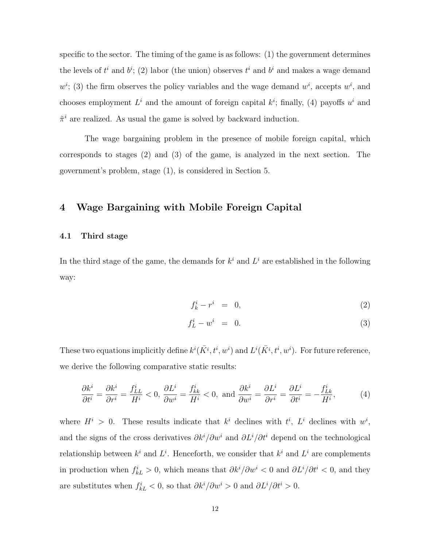specific to the sector. The timing of the game is as follows: (1) the government determines the levels of  $t^i$  and  $b^i$ ; (2) labor (the union) observes  $t^i$  and  $b^i$  and makes a wage demand  $w^i$ ; (3) the firm observes the policy variables and the wage demand  $w^i$ , accepts  $w^i$ , and chooses employment  $L^i$  and the amount of foreign capital  $k^i$ ; finally, (4) payoffs  $u^i$  and  $\tilde{\pi}^i$  are realized. As usual the game is solved by backward induction.

The wage bargaining problem in the presence of mobile foreign capital, which corresponds to stages (2) and (3) of the game, is analyzed in the next section. The government's problem, stage (1), is considered in Section 5.

## 4 Wage Bargaining with Mobile Foreign Capital

#### 4.1 Third stage

In the third stage of the game, the demands for  $k^i$  and  $L^i$  are established in the following way:

$$
f_k^i - r^i = 0,\t\t(2)
$$

$$
f_L^i - w^i = 0. \tag{3}
$$

These two equations implicitly define  $k^{i}(\bar{K}^{i}, t^{i}, w^{i})$  and  $L^{i}(\bar{K}^{i}, t^{i}, w^{i})$ . For future reference, we derive the following comparative static results:

$$
\frac{\partial k^i}{\partial t^i} = \frac{\partial k^i}{\partial r^i} = \frac{f^i_{LL}}{H^i} < 0, \quad \frac{\partial L^i}{\partial w^i} = \frac{f^i_{kk}}{H^i} < 0, \text{ and } \frac{\partial k^i}{\partial w^i} = \frac{\partial L^i}{\partial r^i} = \frac{\partial L^i}{\partial t^i} = -\frac{f^i_{Lk}}{H^i}, \tag{4}
$$

where  $H^i > 0$ . These results indicate that  $k^i$  declines with  $t^i$ ,  $L^i$  declines with  $w^i$ , and the signs of the cross derivatives  $\partial k^{i}/\partial w^{i}$  and  $\partial L^{i}/\partial t^{i}$  depend on the technological relationship between  $k^i$  and  $L^i$ . Henceforth, we consider that  $k^i$  and  $L^i$  are complements in production when  $f_{kL}^i > 0$ , which means that  $\partial k^i / \partial w^i < 0$  and  $\partial L^i / \partial t^i < 0$ , and they are substitutes when  $f_{kL}^i < 0$ , so that  $\partial k^i / \partial w^i > 0$  and  $\partial L^i / \partial t^i > 0$ .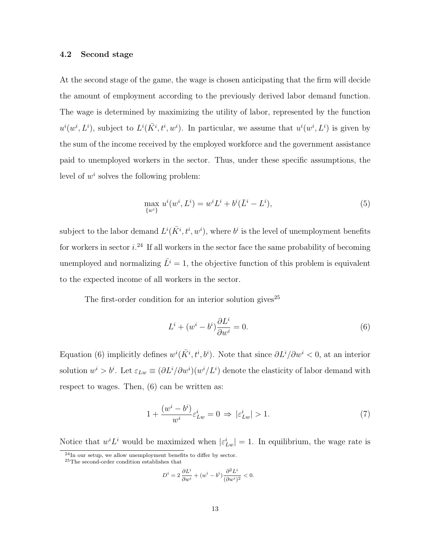#### 4.2 Second stage

At the second stage of the game, the wage is chosen anticipating that the firm will decide the amount of employment according to the previously derived labor demand function. The wage is determined by maximizing the utility of labor, represented by the function  $u^i(w^i, L^i)$ , subject to  $L^i(\overline{K}^i, t^i, w^i)$ . In particular, we assume that  $u^i(w^i, L^i)$  is given by the sum of the income received by the employed workforce and the government assistance paid to unemployed workers in the sector. Thus, under these specific assumptions, the level of  $w^i$  solves the following problem:

$$
\max_{\{w^i\}} u^i(w^i, L^i) = w^i L^i + b^i(\bar{L}^i - L^i),\tag{5}
$$

subject to the labor demand  $L^i(\bar{K}^i, t^i, w^i)$ , where  $b^i$  is the level of unemployment benefits for workers in sector  $i^{24}$  If all workers in the sector face the same probability of becoming unemployed and normalizing  $\overline{L}^i = 1$ , the objective function of this problem is equivalent to the expected income of all workers in the sector.

The first-order condition for an interior solution gives  $\!{}^{25}$ 

$$
L^i + (w^i - b^i) \frac{\partial L^i}{\partial w^i} = 0.
$$
\n<sup>(6)</sup>

Equation (6) implicitly defines  $w^{i}(\bar{K}^{i}, t^{i}, b^{i})$ . Note that since  $\partial L^{i}/\partial w^{i} < 0$ , at an interior solution  $w^i > b^i$ . Let  $\varepsilon_{Lw} \equiv (\partial L^i / \partial w^i)(w^i / L^i)$  denote the elasticity of labor demand with respect to wages. Then, (6) can be written as:

$$
1 + \frac{(w^i - b^i)}{w^i} \varepsilon_{Lw}^i = 0 \implies |\varepsilon_{Lw}^i| > 1.
$$
 (7)

Notice that  $w^i L^i$  would be maximized when  $|\varepsilon^i_{Lw}| = 1$ . In equilibrium, the wage rate is  $^{24}$ In our setup, we allow unemployment benefits to differ by sector.

$$
D^{i} = 2 \frac{\partial L^{i}}{\partial w^{i}} + (w^{i} - b^{i}) \frac{\partial^{2} L^{i}}{(\partial w^{i})^{2}} < 0.
$$

<sup>25</sup>The second-order condition establishes that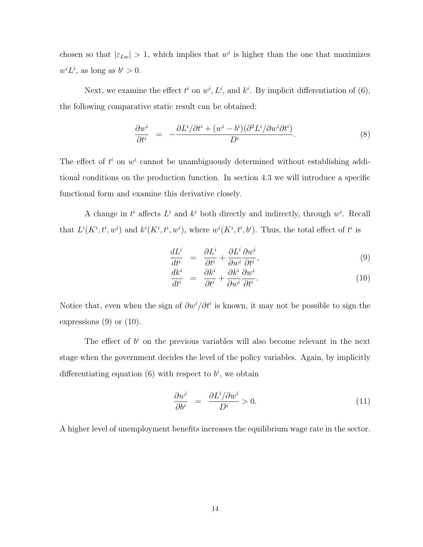chosen so that  $|\epsilon_{Lw}| > 1$ , which implies that w<sup>i</sup> is higher than the one that maximizes  $w^{i}L^{i}$ , as long as  $b^{i} > 0$ .

Next, we examine the effect  $t^i$  on  $w^i, L^i$ , and  $k^i$ . By implicit differentiation of (6), the following comparative static result can be obtained:

$$
\frac{\partial w^i}{\partial t^i} = -\frac{\partial L^i/\partial t^i + (w^i - b^i)(\partial^2 L^i/\partial w^i \partial t^i)}{D^i}.
$$
\n(8)

The effect of  $t^i$  on  $w^i$  cannot be unambiguously determined without establishing additional conditions on the production function. In section 4.3 we will introduce a specific functional form and examine this derivative closely.

A change in  $t^i$  affects  $L^i$  and  $k^i$  both directly and indirectly, through  $w^i$ . Recall that  $L^{i}(K^{i}, t^{i}, w^{i})$  and  $k^{i}(K^{i}, t^{i}, w^{i})$ , where  $w^{i}(K^{i}, t^{i}, b^{i})$ . Thus, the total effect of  $t^{i}$  is

$$
\frac{dL^i}{dt^i} = \frac{\partial L^i}{\partial t^i} + \frac{\partial L^i}{\partial w^i} \frac{\partial w^i}{\partial t^i},\tag{9}
$$

$$
\frac{dk^i}{dt^i} = \frac{\partial k^i}{\partial t^i} + \frac{\partial k^i}{\partial w^i} \frac{\partial w^i}{\partial t^i}.
$$
\n(10)

Notice that, even when the sign of  $\partial w^i/\partial t^i$  is known, it may not be possible to sign the expressions  $(9)$  or  $(10)$ .

The effect of  $b^i$  on the previous variables will also become relevant in the next stage when the government decides the level of the policy variables. Again, by implicitly differentiating equation (6) with respect to  $b^i$ , we obtain

$$
\frac{\partial w^i}{\partial b^i} = \frac{\partial L^i/\partial w^i}{D^i} > 0.
$$
\n(11)

A higher level of unemployment benefits increases the equilibrium wage rate in the sector.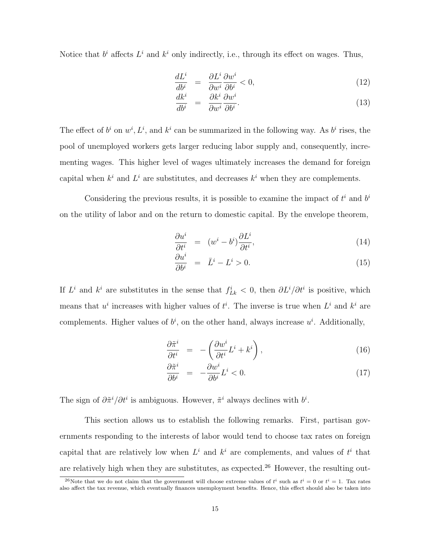Notice that  $b^i$  affects  $L^i$  and  $k^i$  only indirectly, i.e., through its effect on wages. Thus,

$$
\frac{dL^i}{db^i} = \frac{\partial L^i}{\partial w^i} \frac{\partial w^i}{\partial b^i} < 0,\tag{12}
$$

$$
\frac{dk^i}{db^i} = \frac{\partial k^i}{\partial w^i} \frac{\partial w^i}{\partial b^i}.
$$
\n(13)

The effect of  $b^i$  on  $w^i, L^i$ , and  $k^i$  can be summarized in the following way. As  $b^i$  rises, the pool of unemployed workers gets larger reducing labor supply and, consequently, incrementing wages. This higher level of wages ultimately increases the demand for foreign capital when  $k^i$  and  $L^i$  are substitutes, and decreases  $k^i$  when they are complements.

Considering the previous results, it is possible to examine the impact of  $t^i$  and  $b^i$ on the utility of labor and on the return to domestic capital. By the envelope theorem,

$$
\frac{\partial u^i}{\partial t^i} = (w^i - b^i) \frac{\partial L^i}{\partial t^i},\tag{14}
$$

$$
\frac{\partial u^i}{\partial b^i} = \bar{L}^i - L^i > 0.
$$
\n(15)

If  $L^i$  and  $k^i$  are substitutes in the sense that  $f_{Lk}^i < 0$ , then  $\partial L^i/\partial t^i$  is positive, which means that  $u^i$  increases with higher values of  $t^i$ . The inverse is true when  $L^i$  and  $k^i$  are complements. Higher values of  $b^i$ , on the other hand, always increase  $u^i$ . Additionally,

$$
\frac{\partial \tilde{\pi}^i}{\partial t^i} = -\left(\frac{\partial w^i}{\partial t^i} L^i + k^i\right),\tag{16}
$$

$$
\frac{\partial \tilde{\pi}^i}{\partial b^i} = -\frac{\partial w^i}{\partial b^i} L^i < 0. \tag{17}
$$

The sign of  $\partial \tilde{\pi}^i / \partial t^i$  is ambiguous. However,  $\tilde{\pi}^i$  always declines with  $b^i$ .

This section allows us to establish the following remarks. First, partisan governments responding to the interests of labor would tend to choose tax rates on foreign capital that are relatively low when  $L^i$  and  $k^i$  are complements, and values of  $t^i$  that are relatively high when they are substitutes, as expected.<sup>26</sup> However, the resulting out-

<sup>&</sup>lt;sup>26</sup>Note that we do not claim that the government will choose extreme values of  $t^i$  such as  $t^i = 0$  or  $t^i = 1$ . Tax rates also affect the tax revenue, which eventually finances unemployment benefits. Hence, this effect should also be taken into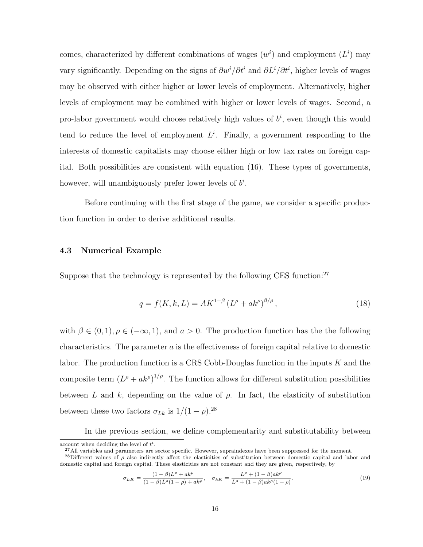comes, characterized by different combinations of wages  $(w<sup>i</sup>)$  and employment  $(L<sup>i</sup>)$  may vary significantly. Depending on the signs of  $\partial w^i/\partial t^i$  and  $\partial L^i/\partial t^i$ , higher levels of wages may be observed with either higher or lower levels of employment. Alternatively, higher levels of employment may be combined with higher or lower levels of wages. Second, a pro-labor government would choose relatively high values of  $b^i$ , even though this would tend to reduce the level of employment  $L^i$ . Finally, a government responding to the interests of domestic capitalists may choose either high or low tax rates on foreign capital. Both possibilities are consistent with equation (16). These types of governments, however, will unambiguously prefer lower levels of  $b^i$ .

Before continuing with the first stage of the game, we consider a specific production function in order to derive additional results.

#### 4.3 Numerical Example

Suppose that the technology is represented by the following CES function:<sup>27</sup>

$$
q = f(K, k, L) = AK^{1-\beta} (L^{\rho} + ak^{\rho})^{\beta/\rho}, \qquad (18)
$$

with  $\beta \in (0, 1), \rho \in (-\infty, 1)$ , and  $a > 0$ . The production function has the the following characteristics. The parameter  $a$  is the effectiveness of foreign capital relative to domestic labor. The production function is a CRS Cobb-Douglas function in the inputs  $K$  and the composite term  $(L^{\rho} + ak^{\rho})^{1/\rho}$ . The function allows for different substitution possibilities between L and k, depending on the value of  $\rho$ . In fact, the elasticity of substitution between these two factors  $\sigma_{Lk}$  is  $1/(1-\rho)$ .<sup>28</sup>

In the previous section, we define complementarity and substitutability between

$$
\sigma_{LK} = \frac{(1-\beta)L^{\rho} + ak^{\rho}}{(1-\beta)L^{\rho}(1-\rho) + ak^{\rho}}, \quad \sigma_{kK} = \frac{L^{\rho} + (1-\beta)ak^{\rho}}{L^{\rho} + (1-\beta)ak^{\rho}(1-\rho)}.
$$
\n(19)

account when deciding the level of  $t^i$ .

<sup>&</sup>lt;sup>27</sup>All variables and parameters are sector specific. However, supraindexes have been suppressed for the moment.

<sup>&</sup>lt;sup>28</sup>Different values of  $\rho$  also indirectly affect the elasticities of substitution between domestic capital and labor and domestic capital and foreign capital. These elasticities are not constant and they are given, respectively, by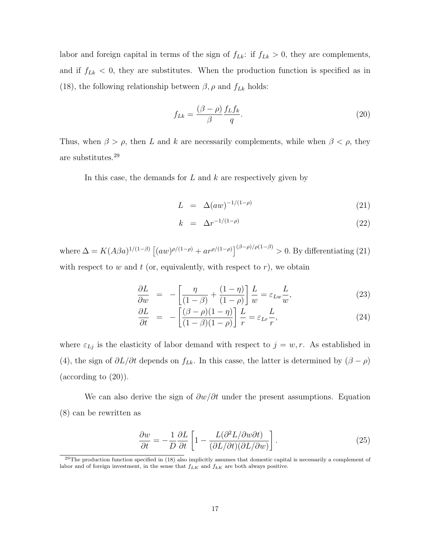labor and foreign capital in terms of the sign of  $f_{Lk}$ : if  $f_{Lk} > 0$ , they are complements, and if  $f_{Lk} < 0$ , they are substitutes. When the production function is specified as in (18), the following relationship between  $\beta,\rho$  and  $f_{Lk}$  holds:

$$
f_{Lk} = \frac{(\beta - \rho)}{\beta} \frac{f_L f_k}{q}.
$$
\n(20)

Thus, when  $\beta > \rho$ , then L and k are necessarily complements, while when  $\beta < \rho$ , they are substitutes.<sup>29</sup>

In this case, the demands for  $L$  and  $k$  are respectively given by

$$
L = \Delta (aw)^{-1/(1-\rho)} \tag{21}
$$

$$
k = \Delta r^{-1/(1-\rho)} \tag{22}
$$

where  $\Delta = K(A\beta a)^{1/(1-\beta)} \left[ (aw)^{\rho/(1-\rho)} + ar^{\rho/(1-\rho)} \right]^{(\beta-\rho)/\rho(1-\beta)} > 0$ . By differentiating (21) with respect to  $w$  and  $t$  (or, equivalently, with respect to  $r$ ), we obtain

$$
\frac{\partial L}{\partial w} = -\left[\frac{\eta}{(1-\beta)} + \frac{(1-\eta)}{(1-\rho)}\right] \frac{L}{w} = \varepsilon_{Lw} \frac{L}{w},\tag{23}
$$

$$
\frac{\partial L}{\partial t} = -\left[\frac{(\beta - \rho)(1 - \eta)}{(1 - \beta)(1 - \rho)}\right] \frac{L}{r} = \varepsilon_{Lr} \frac{L}{r},\tag{24}
$$

where  $\varepsilon_{Lj}$  is the elasticity of labor demand with respect to  $j = w, r$ . As established in (4), the sign of  $\partial L/\partial t$  depends on  $f_{Lk}$ . In this casse, the latter is determined by  $(\beta - \rho)$  $(\text{according to } (20)).$ 

We can also derive the sign of  $\partial w/\partial t$  under the present assumptions. Equation (8) can be rewritten as

$$
\frac{\partial w}{\partial t} = -\frac{1}{D} \frac{\partial L}{\partial t} \left[ 1 - \frac{L(\partial^2 L/\partial w \partial t)}{(\partial L/\partial t)(\partial L/\partial w)} \right].
$$
\n(25)

 $29$ The production function specified in (18) also implicitly assumes that domestic capital is necessarily a complement of labor and of foreign investment, in the sense that  $f_{LK}$  and  $f_{kK}$  are both always positive.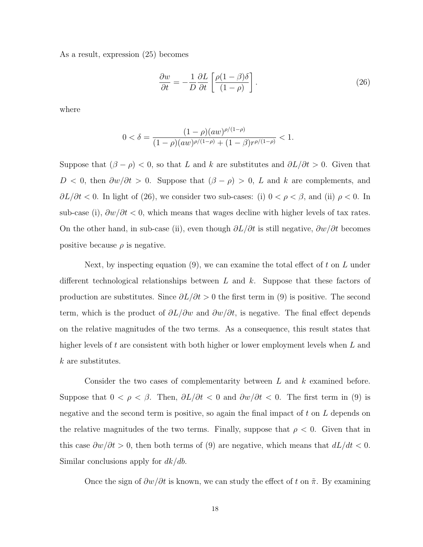As a result, expression (25) becomes

$$
\frac{\partial w}{\partial t} = -\frac{1}{D} \frac{\partial L}{\partial t} \left[ \frac{\rho (1 - \beta) \delta}{(1 - \rho)} \right].
$$
\n(26)

where

$$
0 < \delta = \frac{(1-\rho)(aw)^{\rho/(1-\rho)}}{(1-\rho)(aw)^{\rho/(1-\rho)} + (1-\beta)r^{\rho/(1-\rho)}} < 1.
$$

Suppose that  $(\beta - \rho) < 0$ , so that L and k are substitutes and  $\partial L/\partial t > 0$ . Given that  $D < 0$ , then  $\frac{\partial w}{\partial t} > 0$ . Suppose that  $(\beta - \rho) > 0$ , L and k are complements, and  $\partial L/\partial t$  < 0. In light of (26), we consider two sub-cases: (i) 0 <  $\rho$  <  $\beta$ , and (ii)  $\rho$  < 0. In sub-case (i),  $\partial w/\partial t$  < 0, which means that wages decline with higher levels of tax rates. On the other hand, in sub-case (ii), even though  $\partial L/\partial t$  is still negative,  $\partial w/\partial t$  becomes positive because  $\rho$  is negative.

Next, by inspecting equation  $(9)$ , we can examine the total effect of t on L under different technological relationships between  $L$  and  $k$ . Suppose that these factors of production are substitutes. Since  $\partial L/\partial t > 0$  the first term in (9) is positive. The second term, which is the product of  $\partial L/\partial w$  and  $\partial w/\partial t$ , is negative. The final effect depends on the relative magnitudes of the two terms. As a consequence, this result states that higher levels of t are consistent with both higher or lower employment levels when  $L$  and k are substitutes.

Consider the two cases of complementarity between L and k examined before. Suppose that  $0 < \rho < \beta$ . Then,  $\partial L/\partial t < 0$  and  $\partial w/\partial t < 0$ . The first term in (9) is negative and the second term is positive, so again the final impact of t on L depends on the relative magnitudes of the two terms. Finally, suppose that  $\rho < 0$ . Given that in this case  $\partial w/\partial t > 0$ , then both terms of (9) are negative, which means that  $dL/dt < 0$ . Similar conclusions apply for  $dk/db$ .

Once the sign of  $\partial w/\partial t$  is known, we can study the effect of t on  $\tilde{\pi}$ . By examining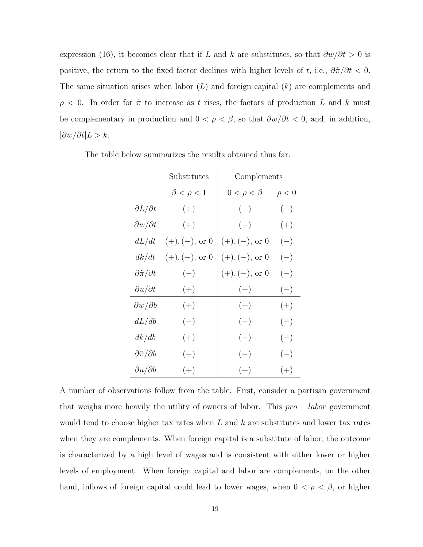expression (16), it becomes clear that if L and k are substitutes, so that  $\frac{\partial w}{\partial t} > 0$  is positive, the return to the fixed factor declines with higher levels of t, i.e.,  $\partial \tilde{\pi}/\partial t < 0$ . The same situation arises when labor  $(L)$  and foreign capital  $(k)$  are complements and  $\rho$  < 0. In order for  $\tilde{\pi}$  to increase as t rises, the factors of production L and k must be complementary in production and  $0 < \rho < \beta$ , so that  $\frac{\partial w}{\partial t} < 0$ , and, in addition,  $|\partial w/\partial t|$ *L* > *k*.

|                                   | Substitutes               | Complements               |            |  |
|-----------------------------------|---------------------------|---------------------------|------------|--|
|                                   | $\beta < \rho < 1$        | $0 < \rho < \beta$        | $\rho < 0$ |  |
| $\partial L/\partial t$           | $(+)$                     | $(-)$                     | $(-)$      |  |
| $\partial w/\partial t$           | $(+)$                     | $(-)$                     | $(+)$      |  |
| dL/dt                             | $(+), (-), \text{ or } 0$ | $(+), (-), \text{ or } 0$ | $(-)$      |  |
| dk/dt                             | $(+), (-), \text{ or } 0$ | $(+), (-), \text{ or } 0$ | $(-)$      |  |
| $\partial \tilde{\pi}/\partial t$ | $(-)$                     | $(+), (-), \text{ or } 0$ | $(-)$      |  |
| $\partial u/\partial t$           | $(+)$                     | $(-)$                     | $(-)$      |  |
| $\partial w/\partial b$           | $(+)$                     | $(+)$                     | $(+)$      |  |
| dL/db                             | $(-)$                     | $(-)$                     | $(-)$      |  |
| dk/db                             | $(+)$                     | $(-)$                     | $(-)$      |  |
| $\partial \tilde{\pi}/\partial b$ | $(-)$                     | $(-)$                     | $(-)$      |  |
| $\partial u/\partial b$           | $(+)$                     | $(+)$                     | $(+)$      |  |

The table below summarizes the results obtained thus far.

A number of observations follow from the table. First, consider a partisan government that weighs more heavily the utility of owners of labor. This  $pro - labor$  government would tend to choose higher tax rates when  $L$  and  $k$  are substitutes and lower tax rates when they are complements. When foreign capital is a substitute of labor, the outcome is characterized by a high level of wages and is consistent with either lower or higher levels of employment. When foreign capital and labor are complements, on the other hand, inflows of foreign capital could lead to lower wages, when  $0 < \rho < \beta$ , or higher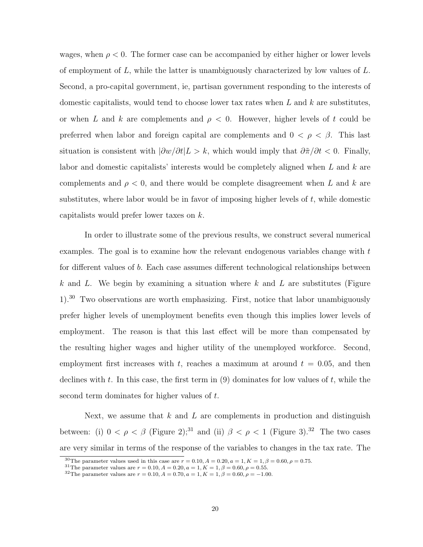wages, when  $\rho < 0$ . The former case can be accompanied by either higher or lower levels of employment of L, while the latter is unambiguously characterized by low values of L. Second, a pro-capital government, ie, partisan government responding to the interests of domestic capitalists, would tend to choose lower tax rates when  $L$  and  $k$  are substitutes, or when L and k are complements and  $\rho < 0$ . However, higher levels of t could be preferred when labor and foreign capital are complements and  $0 < \rho < \beta$ . This last situation is consistent with  $|\partial w/\partial t|$  > k, which would imply that  $\partial \tilde{\pi}/\partial t$  < 0. Finally, labor and domestic capitalists' interests would be completely aligned when L and k are complements and  $\rho < 0$ , and there would be complete disagreement when L and k are substitutes, where labor would be in favor of imposing higher levels of  $t$ , while domestic capitalists would prefer lower taxes on k.

In order to illustrate some of the previous results, we construct several numerical examples. The goal is to examine how the relevant endogenous variables change with t for different values of b. Each case assumes different technological relationships between k and L. We begin by examining a situation where k and L are substitutes (Figure 1).<sup>30</sup> Two observations are worth emphasizing. First, notice that labor unambiguously prefer higher levels of unemployment benefits even though this implies lower levels of employment. The reason is that this last effect will be more than compensated by the resulting higher wages and higher utility of the unemployed workforce. Second, employment first increases with t, reaches a maximum at around  $t = 0.05$ , and then declines with t. In this case, the first term in  $(9)$  dominates for low values of t, while the second term dominates for higher values of t.

Next, we assume that  $k$  and  $L$  are complements in production and distinguish between: (i)  $0 < \rho < \beta$  (Figure 2);<sup>31</sup> and (ii)  $\beta < \rho < 1$  (Figure 3).<sup>32</sup> The two cases are very similar in terms of the response of the variables to changes in the tax rate. The

<sup>&</sup>lt;sup>30</sup>The parameter values used in this case are  $r = 0.10, A = 0.20, a = 1, K = 1, \beta = 0.60, \rho = 0.75$ .

<sup>&</sup>lt;sup>31</sup>The parameter values are  $r = 0.10, A = 0.20, a = 1, K = 1, \beta = 0.60, \rho = 0.55$ .

<sup>&</sup>lt;sup>32</sup>The parameter values are  $r = 0.10, A = 0.70, a = 1, K = 1, \beta = 0.60, \rho = -1.00$ .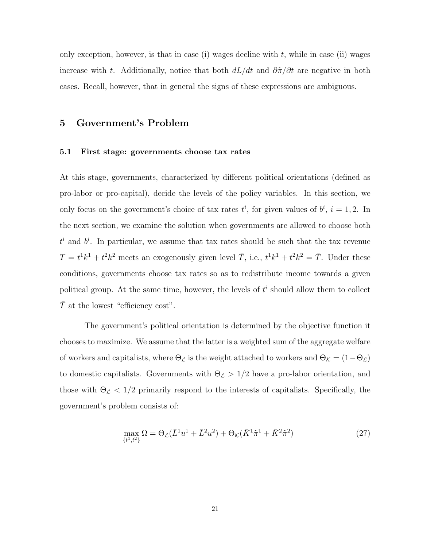only exception, however, is that in case (i) wages decline with  $t$ , while in case (ii) wages increase with t. Additionally, notice that both  $dL/dt$  and  $\partial \tilde{\pi}/\partial t$  are negative in both cases. Recall, however, that in general the signs of these expressions are ambiguous.

## 5 Government's Problem

#### 5.1 First stage: governments choose tax rates

At this stage, governments, characterized by different political orientations (defined as pro-labor or pro-capital), decide the levels of the policy variables. In this section, we only focus on the government's choice of tax rates  $t^i$ , for given values of  $b^i$ ,  $i = 1, 2$ . In the next section, we examine the solution when governments are allowed to choose both  $t^i$  and  $b^i$ . In particular, we assume that tax rates should be such that the tax revenue  $T = t^1k^1 + t^2k^2$  meets an exogenously given level  $\overline{T}$ , i.e.,  $t^1k^1 + t^2k^2 = \overline{T}$ . Under these conditions, governments choose tax rates so as to redistribute income towards a given political group. At the same time, however, the levels of  $t<sup>i</sup>$  should allow them to collect  $\overline{T}$  at the lowest "efficiency cost".

The government's political orientation is determined by the objective function it chooses to maximize. We assume that the latter is a weighted sum of the aggregate welfare of workers and capitalists, where  $\Theta_{\mathcal{L}}$  is the weight attached to workers and  $\Theta_{\mathcal{K}} = (1 - \Theta_{\mathcal{L}})$ to domestic capitalists. Governments with  $\Theta_{\mathcal{L}} > 1/2$  have a pro-labor orientation, and those with  $\Theta_{\mathcal{L}} < 1/2$  primarily respond to the interests of capitalists. Specifically, the government's problem consists of:

$$
\max_{\{t^1, t^2\}} \Omega = \Theta_{\mathcal{L}}(\bar{L}^1 u^1 + \bar{L}^2 u^2) + \Theta_{\mathcal{K}}(\bar{K}^1 \tilde{\pi}^1 + \bar{K}^2 \tilde{\pi}^2) \tag{27}
$$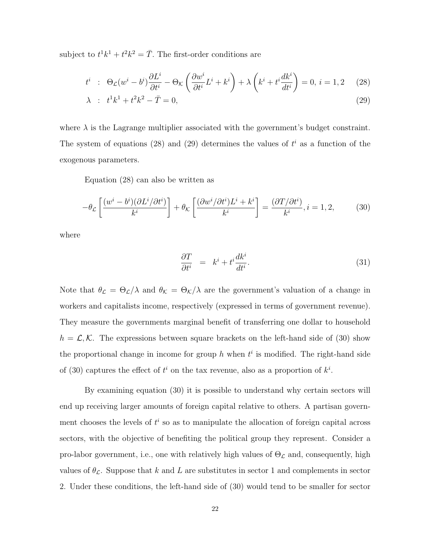subject to  $t^1k^1 + t^2k^2 = \overline{T}$ . The first-order conditions are

$$
t^{i} \ : \ \Theta_{\mathcal{L}}(w^{i} - b^{i}) \frac{\partial L^{i}}{\partial t^{i}} - \Theta_{\mathcal{K}}\left(\frac{\partial w^{i}}{\partial t^{i}} L^{i} + k^{i}\right) + \lambda\left(k^{i} + t^{i} \frac{dk^{i}}{dt^{i}}\right) = 0, \ i = 1, 2 \quad (28)
$$

$$
\lambda : t^1 k^1 + t^2 k^2 - \bar{T} = 0,
$$
\n(29)

where  $\lambda$  is the Lagrange multiplier associated with the government's budget constraint. The system of equations (28) and (29) determines the values of  $t^i$  as a function of the exogenous parameters.

Equation (28) can also be written as

$$
-\theta_{\mathcal{L}}\left[\frac{(w^i - b^i)(\partial L^i/\partial t^i)}{k^i}\right] + \theta_{\mathcal{K}}\left[\frac{(\partial w^i/\partial t^i)L^i + k^i}{k^i}\right] = \frac{(\partial T/\partial t^i)}{k^i}, i = 1, 2,
$$
 (30)

where

$$
\frac{\partial T}{\partial t^i} = k^i + t^i \frac{dk^i}{dt^i}.
$$
\n(31)

Note that  $\theta_{\mathcal{L}} = \Theta_{\mathcal{L}}/\lambda$  and  $\theta_{\mathcal{K}} = \Theta_{\mathcal{K}}/\lambda$  are the government's valuation of a change in workers and capitalists income, respectively (expressed in terms of government revenue). They measure the governments marginal benefit of transferring one dollar to household  $h = \mathcal{L}, \mathcal{K}$ . The expressions between square brackets on the left-hand side of (30) show the proportional change in income for group h when  $t^i$  is modified. The right-hand side of (30) captures the effect of  $t^i$  on the tax revenue, also as a proportion of  $k^i$ .

By examining equation (30) it is possible to understand why certain sectors will end up receiving larger amounts of foreign capital relative to others. A partisan government chooses the levels of  $t^i$  so as to manipulate the allocation of foreign capital across sectors, with the objective of benefiting the political group they represent. Consider a pro-labor government, i.e., one with relatively high values of  $\Theta_{\mathcal{L}}$  and, consequently, high values of  $\theta_{\mathcal{L}}$ . Suppose that k and L are substitutes in sector 1 and complements in sector 2. Under these conditions, the left-hand side of (30) would tend to be smaller for sector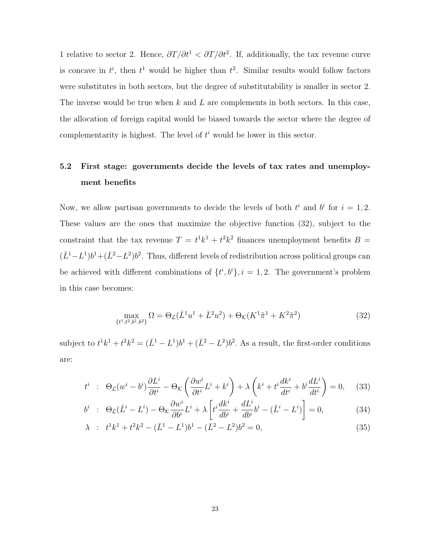1 relative to sector 2. Hence,  $\partial T/\partial t^1 < \partial T/\partial t^2$ . If, additionally, the tax revenue curve is concave in  $t^i$ , then  $t^1$  would be higher than  $t^2$ . Similar results would follow factors were substitutes in both sectors, but the degree of substitutability is smaller in sector 2. The inverse would be true when  $k$  and  $L$  are complements in both sectors. In this case, the allocation of foreign capital would be biased towards the sector where the degree of complementarity is highest. The level of  $t^i$  would be lower in this sector.

## 5.2 First stage: governments decide the levels of tax rates and unemployment benefits

Now, we allow partisan governments to decide the levels of both  $t^i$  and  $b^i$  for  $i = 1, 2$ . These values are the ones that maximize the objective function (32), subject to the constraint that the tax revenue  $T = t^1k^1 + t^2k^2$  finances unemployment benefits  $B =$  $(\bar{L}^1 - L^1)b^1 + (\bar{L}^2 - L^2)b^2$ . Thus, different levels of redistribution across political groups can be achieved with different combinations of  $\{t^i, b^i\}, i = 1, 2$ . The government's problem in this case becomes:

$$
\max_{\{t^1, t^2, b^1, b^2\}} \Omega = \Theta_{\mathcal{L}}(\bar{L}^1 u^1 + \bar{L}^2 u^2) + \Theta_{\mathcal{K}}(K^1 \tilde{\pi}^1 + K^2 \tilde{\pi}^2)
$$
(32)

subject to  $t^1k^1 + t^2k^2 = (\bar{L}^1 - L^1)b^1 + (\bar{L}^2 - L^2)b^2$ . As a result, the first-order conditions are:

$$
t^{i} \div \Theta_{\mathcal{L}}(w^{i} - b^{i}) \frac{\partial L^{i}}{\partial t^{i}} - \Theta_{\mathcal{K}}\left(\frac{\partial w^{i}}{\partial t^{i}} L^{i} + k^{i}\right) + \lambda\left(k^{i} + t^{i} \frac{dk^{i}}{dt^{i}} + b^{i} \frac{dL^{i}}{dt^{i}}\right) = 0, \quad (33)
$$

$$
b^{i} \div \Theta_{\mathcal{L}}(\bar{L}^{i} - L^{i}) - \Theta_{\mathcal{K}}\frac{\partial w^{i}}{\partial b^{i}}L^{i} + \lambda \left[ t^{i} \frac{dk^{i}}{db^{i}} + \frac{dL^{i}}{db^{i}}b^{i} - (\bar{L}^{i} - L^{i}) \right] = 0, \tag{34}
$$

$$
\lambda : t^1 k^1 + t^2 k^2 - (\bar{L}^1 - L^1) b^1 - (\bar{L}^2 - L^2) b^2 = 0,
$$
\n(35)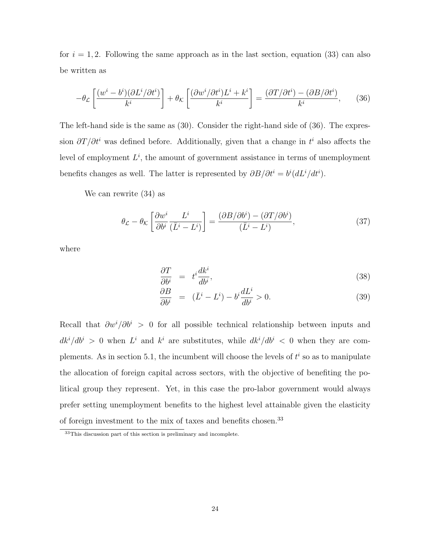for  $i = 1, 2$ . Following the same approach as in the last section, equation (33) can also be written as

$$
-\theta_{\mathcal{L}}\left[\frac{(w^i - b^i)(\partial L^i/\partial t^i)}{k^i}\right] + \theta_{\mathcal{K}}\left[\frac{(\partial w^i/\partial t^i)L^i + k^i}{k^i}\right] = \frac{(\partial T/\partial t^i) - (\partial B/\partial t^i)}{k^i},\tag{36}
$$

The left-hand side is the same as (30). Consider the right-hand side of (36). The expression  $\partial T/\partial t^i$  was defined before. Additionally, given that a change in  $t^i$  also affects the level of employment  $L^i$ , the amount of government assistance in terms of unemployment benefits changes as well. The latter is represented by  $\partial B/\partial t^i = b^i (dL^i/dt^i)$ .

We can rewrite (34) as

$$
\theta_{\mathcal{L}} - \theta_{\mathcal{K}} \left[ \frac{\partial w^i}{\partial b^i} \frac{L^i}{(\bar{L}^i - L^i)} \right] = \frac{(\partial B/\partial b^i) - (\partial T/\partial b^i)}{(\bar{L}^i - L^i)},\tag{37}
$$

where

$$
\frac{\partial T}{\partial b^i} = t^i \frac{dk^i}{db^i},\tag{38}
$$

$$
\frac{\partial B}{\partial b^i} = (\bar{L}^i - L^i) - b^i \frac{dL^i}{db^i} > 0.
$$
\n(39)

Recall that  $\partial w^i/\partial b^i > 0$  for all possible technical relationship between inputs and  $dk^{i}/db^{i} > 0$  when  $L^{i}$  and  $k^{i}$  are substitutes, while  $dk^{i}/db^{i} < 0$  when they are complements. As in section 5.1, the incumbent will choose the levels of  $t^i$  so as to manipulate the allocation of foreign capital across sectors, with the objective of benefiting the political group they represent. Yet, in this case the pro-labor government would always prefer setting unemployment benefits to the highest level attainable given the elasticity of foreign investment to the mix of taxes and benefits chosen.<sup>33</sup>

<sup>33</sup>This discussion part of this section is preliminary and incomplete.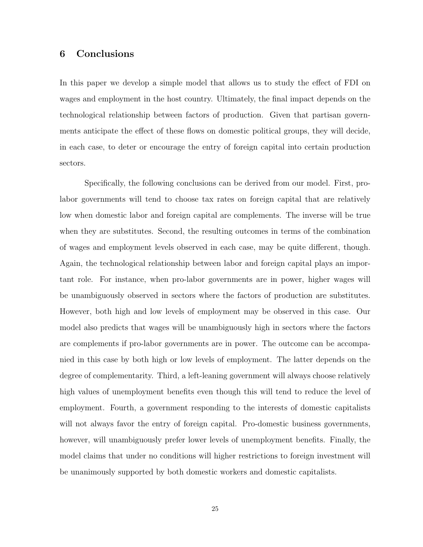## 6 Conclusions

In this paper we develop a simple model that allows us to study the effect of FDI on wages and employment in the host country. Ultimately, the final impact depends on the technological relationship between factors of production. Given that partisan governments anticipate the effect of these flows on domestic political groups, they will decide, in each case, to deter or encourage the entry of foreign capital into certain production sectors.

Specifically, the following conclusions can be derived from our model. First, prolabor governments will tend to choose tax rates on foreign capital that are relatively low when domestic labor and foreign capital are complements. The inverse will be true when they are substitutes. Second, the resulting outcomes in terms of the combination of wages and employment levels observed in each case, may be quite different, though. Again, the technological relationship between labor and foreign capital plays an important role. For instance, when pro-labor governments are in power, higher wages will be unambiguously observed in sectors where the factors of production are substitutes. However, both high and low levels of employment may be observed in this case. Our model also predicts that wages will be unambiguously high in sectors where the factors are complements if pro-labor governments are in power. The outcome can be accompanied in this case by both high or low levels of employment. The latter depends on the degree of complementarity. Third, a left-leaning government will always choose relatively high values of unemployment benefits even though this will tend to reduce the level of employment. Fourth, a government responding to the interests of domestic capitalists will not always favor the entry of foreign capital. Pro-domestic business governments, however, will unambiguously prefer lower levels of unemployment benefits. Finally, the model claims that under no conditions will higher restrictions to foreign investment will be unanimously supported by both domestic workers and domestic capitalists.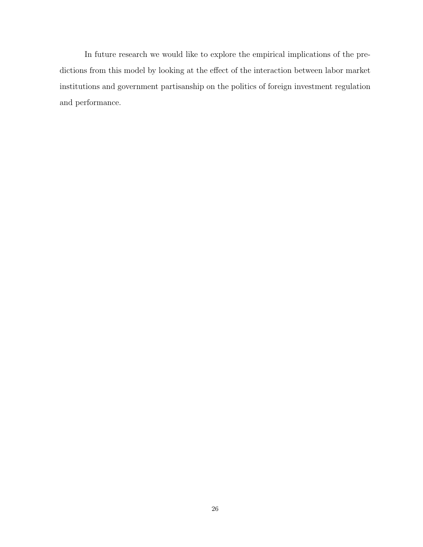In future research we would like to explore the empirical implications of the predictions from this model by looking at the effect of the interaction between labor market institutions and government partisanship on the politics of foreign investment regulation and performance.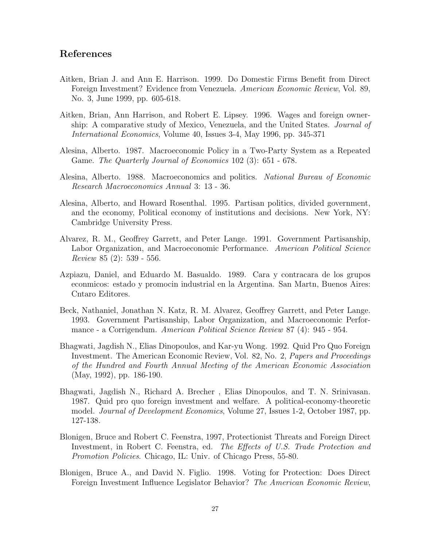## References

- Aitken, Brian J. and Ann E. Harrison. 1999. Do Domestic Firms Benefit from Direct Foreign Investment? Evidence from Venezuela. American Economic Review, Vol. 89, No. 3, June 1999, pp. 605-618.
- Aitken, Brian, Ann Harrison, and Robert E. Lipsey. 1996. Wages and foreign ownership: A comparative study of Mexico, Venezuela, and the United States. Journal of International Economics, Volume 40, Issues 3-4, May 1996, pp. 345-371
- Alesina, Alberto. 1987. Macroeconomic Policy in a Two-Party System as a Repeated Game. The Quarterly Journal of Economics 102 (3): 651 - 678.
- Alesina, Alberto. 1988. Macroeconomics and politics. National Bureau of Economic Research Macroeconomics Annual 3: 13 - 36.
- Alesina, Alberto, and Howard Rosenthal. 1995. Partisan politics, divided government, and the economy, Political economy of institutions and decisions. New York, NY: Cambridge University Press.
- Alvarez, R. M., Geoffrey Garrett, and Peter Lange. 1991. Government Partisanship, Labor Organization, and Macroeconomic Performance. American Political Science Review 85 (2): 539 - 556.
- Azpiazu, Daniel, and Eduardo M. Basualdo. 1989. Cara y contracara de los grupos econmicos: estado y promocin industrial en la Argentina. San Martn, Buenos Aires: Cntaro Editores.
- Beck, Nathaniel, Jonathan N. Katz, R. M. Alvarez, Geoffrey Garrett, and Peter Lange. 1993. Government Partisanship, Labor Organization, and Macroeconomic Performance - a Corrigendum. American Political Science Review 87 (4): 945 - 954.
- Bhagwati, Jagdish N., Elias Dinopoulos, and Kar-yu Wong. 1992. Quid Pro Quo Foreign Investment. The American Economic Review, Vol. 82, No. 2, Papers and Proceedings of the Hundred and Fourth Annual Meeting of the American Economic Association (May, 1992), pp. 186-190.
- Bhagwati, Jagdish N., Richard A. Brecher , Elias Dinopoulos, and T. N. Srinivasan. 1987. Quid pro quo foreign investment and welfare. A political-economy-theoretic model. Journal of Development Economics, Volume 27, Issues 1-2, October 1987, pp. 127-138.
- Blonigen, Bruce and Robert C. Feenstra, 1997, Protectionist Threats and Foreign Direct Investment, in Robert C. Feenstra, ed. The Effects of U.S. Trade Protection and Promotion Policies. Chicago, IL: Univ. of Chicago Press, 55-80.
- Blonigen, Bruce A., and David N. Figlio. 1998. Voting for Protection: Does Direct Foreign Investment Influence Legislator Behavior? The American Economic Review,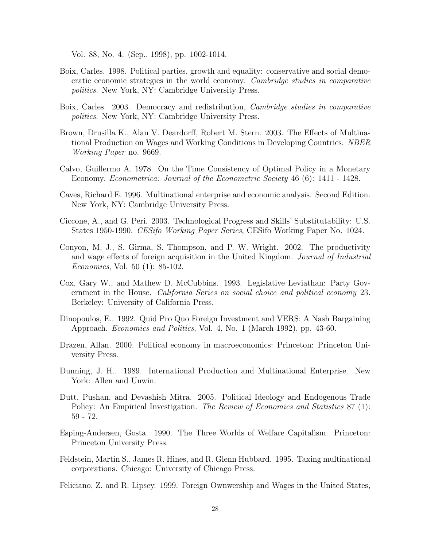Vol. 88, No. 4. (Sep., 1998), pp. 1002-1014.

- Boix, Carles. 1998. Political parties, growth and equality: conservative and social democratic economic strategies in the world economy. Cambridge studies in comparative politics. New York, NY: Cambridge University Press.
- Boix, Carles. 2003. Democracy and redistribution, Cambridge studies in comparative politics. New York, NY: Cambridge University Press.
- Brown, Drusilla K., Alan V. Deardorff, Robert M. Stern. 2003. The Effects of Multinational Production on Wages and Working Conditions in Developing Countries. NBER Working Paper no. 9669.
- Calvo, Guillermo A. 1978. On the Time Consistency of Optimal Policy in a Monetary Economy. Econometrica: Journal of the Econometric Society 46 (6): 1411 - 1428.
- Caves, Richard E. 1996. Multinational enterprise and economic analysis. Second Edition. New York, NY: Cambridge University Press.
- Ciccone, A., and G. Peri. 2003. Technological Progress and Skills' Substitutability: U.S. States 1950-1990. CESifo Working Paper Series, CESifo Working Paper No. 1024.
- Conyon, M. J., S. Girma, S. Thompson, and P. W. Wright. 2002. The productivity and wage effects of foreign acquisition in the United Kingdom. Journal of Industrial Economics, Vol. 50 (1): 85-102.
- Cox, Gary W., and Mathew D. McCubbins. 1993. Legislative Leviathan: Party Government in the House. *California Series on social choice and political economy* 23. Berkeley: University of California Press.
- Dinopoulos, E.. 1992. Quid Pro Quo Foreign Investment and VERS: A Nash Bargaining Approach. Economics and Politics, Vol. 4, No. 1 (March 1992), pp. 43-60.
- Drazen, Allan. 2000. Political economy in macroeconomics: Princeton: Princeton University Press.
- Dunning, J. H.. 1989. International Production and Multinational Enterprise. New York: Allen and Unwin.
- Dutt, Pushan, and Devashish Mitra. 2005. Political Ideology and Endogenous Trade Policy: An Empirical Investigation. *The Review of Economics and Statistics* 87 (1): 59 - 72.
- Esping-Andersen, Gosta. 1990. The Three Worlds of Welfare Capitalism. Princeton: Princeton University Press.
- Feldstein, Martin S., James R. Hines, and R. Glenn Hubbard. 1995. Taxing multinational corporations. Chicago: University of Chicago Press.

Feliciano, Z. and R. Lipsey. 1999. Foreign Ownwership and Wages in the United States,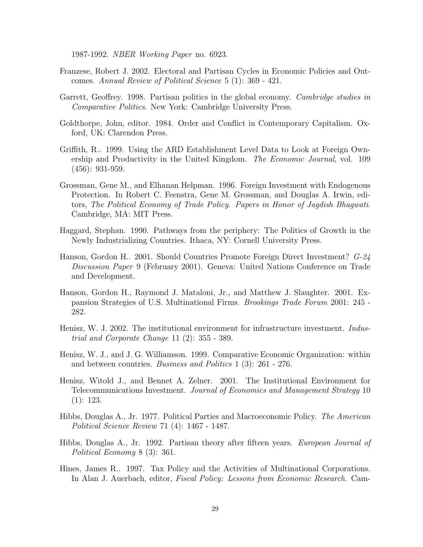1987-1992. NBER Working Paper no. 6923.

- Franzese, Robert J. 2002. Electoral and Partisan Cycles in Economic Policies and Outcomes. Annual Review of Political Science 5 (1): 369 - 421.
- Garrett, Geoffrey. 1998. Partisan politics in the global economy. Cambridge studies in Comparative Politics. New York: Cambridge University Press.
- Goldthorpe, John, editor. 1984. Order and Conflict in Contemporary Capitalism. Oxford, UK: Clarendon Press.
- Griffith, R.. 1999. Using the ARD Establishment Level Data to Look at Foreign Ownership and Productivity in the United Kingdom. The Economic Journal, vol. 109 (456): 931-959.
- Grossman, Gene M., and Elhanan Helpman. 1996. Foreign Investment with Endogenous Protection. In Robert C. Feenstra, Gene M. Grossman, and Douglas A. Irwin, editors, The Political Economy of Trade Policy. Papers in Honor of Jagdish Bhagwati. Cambridge, MA: MIT Press.
- Haggard, Stephan. 1990. Pathways from the periphery: The Politics of Growth in the Newly Industrializing Countries. Ithaca, NY: Cornell University Press.
- Hanson, Gordon H.. 2001. Should Countries Promote Foreign Direct Investment? G-24 Discussion Paper 9 (February 2001). Geneva: United Nations Conference on Trade and Development.
- Hanson, Gordon H., Raymond J. Mataloni, Jr., and Matthew J. Slaughter. 2001. Expansion Strategies of U.S. Multinational Firms. Brookings Trade Forum 2001: 245 - 282.
- Henisz, W. J. 2002. The institutional environment for infrastructure investment. *Indus*trial and Corporate Change 11 (2): 355 - 389.
- Henisz, W. J., and J. G. Williamson. 1999. Comparative Economic Organization: within and between countries. Business and Politics 1 (3): 261 - 276.
- Henisz, Witold J., and Bennet A. Zelner. 2001. The Institutional Environment for Telecommunications Investment. Journal of Economics and Management Strategy 10 (1): 123.
- Hibbs, Douglas A., Jr. 1977. Political Parties and Macroeconomic Policy. The American Political Science Review 71 (4): 1467 - 1487.
- Hibbs, Douglas A., Jr. 1992. Partisan theory after fifteen years. European Journal of Political Economy 8 (3): 361.
- Hines, James R.. 1997. Tax Policy and the Activities of Multinational Corporations. In Alan J. Auerbach, editor, Fiscal Policy: Lessons from Economic Research. Cam-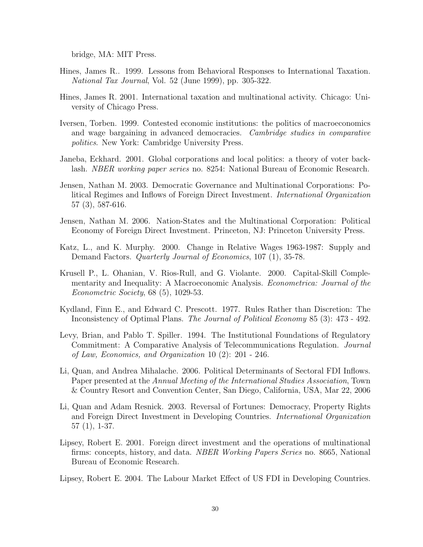bridge, MA: MIT Press.

- Hines, James R.. 1999. Lessons from Behavioral Responses to International Taxation. National Tax Journal, Vol. 52 (June 1999), pp. 305-322.
- Hines, James R. 2001. International taxation and multinational activity. Chicago: University of Chicago Press.
- Iversen, Torben. 1999. Contested economic institutions: the politics of macroeconomics and wage bargaining in advanced democracies. Cambridge studies in comparative politics. New York: Cambridge University Press.
- Janeba, Eckhard. 2001. Global corporations and local politics: a theory of voter backlash. NBER working paper series no. 8254: National Bureau of Economic Research.
- Jensen, Nathan M. 2003. Democratic Governance and Multinational Corporations: Political Regimes and Inflows of Foreign Direct Investment. International Organization 57 (3), 587-616.
- Jensen, Nathan M. 2006. Nation-States and the Multinational Corporation: Political Economy of Foreign Direct Investment. Princeton, NJ: Princeton University Press.
- Katz, L., and K. Murphy. 2000. Change in Relative Wages 1963-1987: Supply and Demand Factors. *Quarterly Journal of Economics*, 107 (1), 35-78.
- Krusell P., L. Ohanian, V. Rios-Rull, and G. Violante. 2000. Capital-Skill Complementarity and Inequality: A Macroeconomic Analysis. Econometrica: Journal of the Econometric Society, 68 (5), 1029-53.
- Kydland, Finn E., and Edward C. Prescott. 1977. Rules Rather than Discretion: The Inconsistency of Optimal Plans. The Journal of Political Economy 85 (3): 473 - 492.
- Levy, Brian, and Pablo T. Spiller. 1994. The Institutional Foundations of Regulatory Commitment: A Comparative Analysis of Telecommunications Regulation. Journal of Law, Economics, and Organization 10 (2): 201 - 246.
- Li, Quan, and Andrea Mihalache. 2006. Political Determinants of Sectoral FDI Inflows. Paper presented at the Annual Meeting of the International Studies Association, Town & Country Resort and Convention Center, San Diego, California, USA, Mar 22, 2006
- Li, Quan and Adam Resnick. 2003. Reversal of Fortunes: Democracy, Property Rights and Foreign Direct Investment in Developing Countries. International Organization 57 (1), 1-37.
- Lipsey, Robert E. 2001. Foreign direct investment and the operations of multinational firms: concepts, history, and data. NBER Working Papers Series no. 8665, National Bureau of Economic Research.

Lipsey, Robert E. 2004. The Labour Market Effect of US FDI in Developing Countries.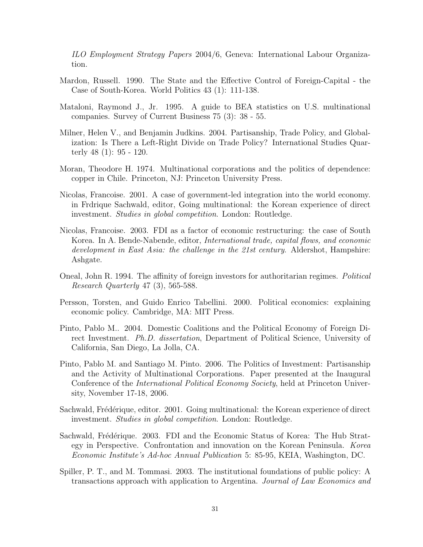ILO Employment Strategy Papers 2004/6, Geneva: International Labour Organization.

- Mardon, Russell. 1990. The State and the Effective Control of Foreign-Capital the Case of South-Korea. World Politics 43 (1): 111-138.
- Mataloni, Raymond J., Jr. 1995. A guide to BEA statistics on U.S. multinational companies. Survey of Current Business 75 (3): 38 - 55.
- Milner, Helen V., and Benjamin Judkins. 2004. Partisanship, Trade Policy, and Globalization: Is There a Left-Right Divide on Trade Policy? International Studies Quarterly 48 (1): 95 - 120.
- Moran, Theodore H. 1974. Multinational corporations and the politics of dependence: copper in Chile. Princeton, NJ: Princeton University Press.
- Nicolas, Francoise. 2001. A case of government-led integration into the world economy. in Frdrique Sachwald, editor, Going multinational: the Korean experience of direct investment. Studies in global competition. London: Routledge.
- Nicolas, Francoise. 2003. FDI as a factor of economic restructuring: the case of South Korea. In A. Bende-Nabende, editor, International trade, capital flows, and economic development in East Asia: the challenge in the 21st century. Aldershot, Hampshire: Ashgate.
- Oneal, John R. 1994. The affinity of foreign investors for authoritarian regimes. Political Research Quarterly 47 (3), 565-588.
- Persson, Torsten, and Guido Enrico Tabellini. 2000. Political economics: explaining economic policy. Cambridge, MA: MIT Press.
- Pinto, Pablo M.. 2004. Domestic Coalitions and the Political Economy of Foreign Direct Investment. Ph.D. dissertation, Department of Political Science, University of California, San Diego, La Jolla, CA.
- Pinto, Pablo M. and Santiago M. Pinto. 2006. The Politics of Investment: Partisanship and the Activity of Multinational Corporations. Paper presented at the Inaugural Conference of the International Political Economy Society, held at Princeton University, November 17-18, 2006.
- Sachwald, Frédérique, editor. 2001. Going multinational: the Korean experience of direct investment. Studies in global competition. London: Routledge.
- Sachwald, Frédérique. 2003. FDI and the Economic Status of Korea: The Hub Strategy in Perspective. Confrontation and innovation on the Korean Peninsula. Korea Economic Institute's Ad-hoc Annual Publication 5: 85-95, KEIA, Washington, DC.
- Spiller, P. T., and M. Tommasi. 2003. The institutional foundations of public policy: A transactions approach with application to Argentina. Journal of Law Economics and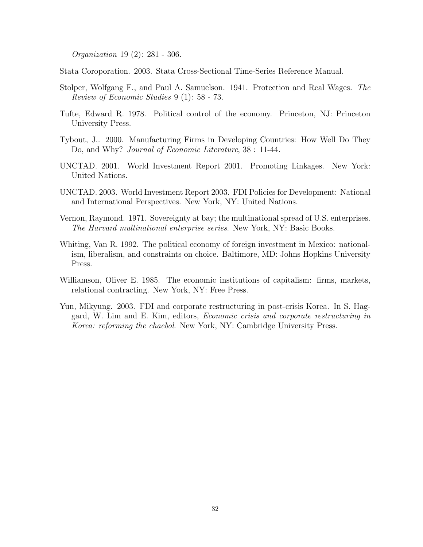Organization 19 (2): 281 - 306.

Stata Coroporation. 2003. Stata Cross-Sectional Time-Series Reference Manual.

- Stolper, Wolfgang F., and Paul A. Samuelson. 1941. Protection and Real Wages. The Review of Economic Studies 9 (1): 58 - 73.
- Tufte, Edward R. 1978. Political control of the economy. Princeton, NJ: Princeton University Press.
- Tybout, J.. 2000. Manufacturing Firms in Developing Countries: How Well Do They Do, and Why? *Journal of Economic Literature*,  $38:11-44$ .
- UNCTAD. 2001. World Investment Report 2001. Promoting Linkages. New York: United Nations.
- UNCTAD. 2003. World Investment Report 2003. FDI Policies for Development: National and International Perspectives. New York, NY: United Nations.
- Vernon, Raymond. 1971. Sovereignty at bay; the multinational spread of U.S. enterprises. The Harvard multinational enterprise series. New York, NY: Basic Books.
- Whiting, Van R. 1992. The political economy of foreign investment in Mexico: nationalism, liberalism, and constraints on choice. Baltimore, MD: Johns Hopkins University Press.
- Williamson, Oliver E. 1985. The economic institutions of capitalism: firms, markets, relational contracting. New York, NY: Free Press.
- Yun, Mikyung. 2003. FDI and corporate restructuring in post-crisis Korea. In S. Haggard, W. Lim and E. Kim, editors, Economic crisis and corporate restructuring in Korea: reforming the chaebol. New York, NY: Cambridge University Press.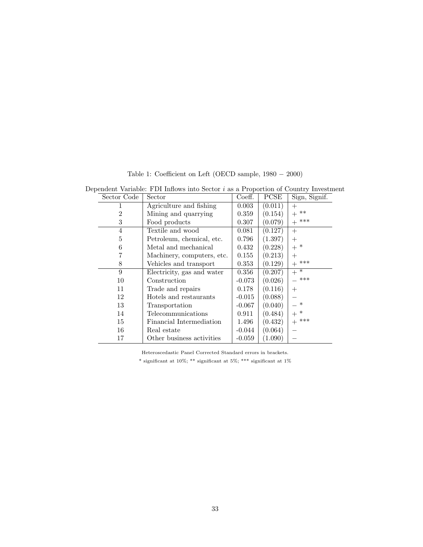| Dependent Variable: FDI Inflows into Sector $i$ as a Proportion of Country Investment |                       |                            |          |         |                 |  |
|---------------------------------------------------------------------------------------|-----------------------|----------------------------|----------|---------|-----------------|--|
|                                                                                       | Sector Code<br>Sector |                            | Coeff.   | PCSE    | Sign, Signif.   |  |
|                                                                                       | 1                     | Agriculture and fishing    | 0.003    | (0.011) | $^{+}$          |  |
|                                                                                       | $\overline{2}$        | Mining and quarrying       | 0.359    | (0.154) | $***$<br>$+$    |  |
| 3                                                                                     |                       | Food products              | 0.307    | (0.079) | ***<br>$+$      |  |
| $\overline{4}$                                                                        |                       | Textile and wood           | 0.081    | (0.127) | $+$             |  |
| 5                                                                                     |                       | Petroleum, chemical, etc.  | 0.796    | (1.397) | $+$             |  |
| 6                                                                                     |                       | Metal and mechanical       | 0.432    | (0.228) | $+$ *           |  |
| 7                                                                                     |                       | Machinery, computers, etc. | 0.155    | (0.213) | $+$             |  |
| 8                                                                                     |                       | Vehicles and transport     | 0.353    | (0.129) | $+$ ***         |  |
| 9                                                                                     |                       | Electricity, gas and water | 0.356    | (0.207) | $+\overline{+}$ |  |
| 10                                                                                    |                       | Construction               | $-0.073$ | (0.026) | ***             |  |
| 11                                                                                    |                       | Trade and repairs          | 0.178    | (0.116) | $^{+}$          |  |
| 12                                                                                    |                       | Hotels and restaurants     | $-0.015$ | (0.088) |                 |  |
| 13                                                                                    |                       | Transportation             | $-0.067$ | (0.040) | $\ast$          |  |
| 14                                                                                    |                       | Telecommunications         | 0.911    | (0.484) | $\ast$<br>$+$   |  |
| 15                                                                                    |                       | Financial Intermediation   | 1.496    | (0.432) | ***<br>$^{+}$   |  |
| 16                                                                                    |                       | Real estate                | $-0.044$ | (0.064) |                 |  |
| 17                                                                                    |                       | Other business activities  | $-0.059$ | (1.090) |                 |  |

Table 1: Coefficient on Left (OECD sample, 1980 − 2000)

Heteroscedastic Panel Corrected Standard errors in brackets.

 $^*$  significant at 10%;  $^{**}$  significant at  $1\%$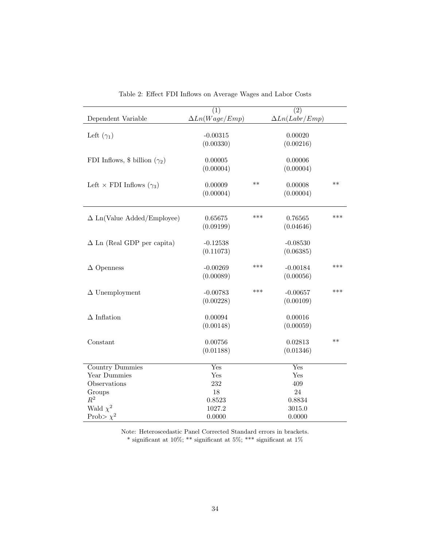|                                          | $\overline{(1)}$      |      | $\overline{(2)}$      |       |
|------------------------------------------|-----------------------|------|-----------------------|-------|
| Dependent Variable                       | $\Delta Ln(Wage/Emp)$ |      | $\Delta Ln(Labr/Emp)$ |       |
| Left $(\gamma_1)$                        | $-0.00315$            |      | 0.00020               |       |
|                                          | (0.00330)             |      | (0.00216)             |       |
|                                          |                       |      |                       |       |
| FDI Inflows, \$ billion $(\gamma_2)$     | 0.00005               |      | 0.00006               |       |
|                                          | (0.00004)             |      | (0.00004)             |       |
| Left $\times$ FDI Inflows ( $\gamma_3$ ) | 0.00009               | $**$ | 0.00008               | $**$  |
|                                          | (0.00004)             |      | (0.00004)             |       |
|                                          |                       |      |                       |       |
| $\Delta$ Ln(Value Added/Employee)        | 0.65675               | ***  | 0.76565               | ***   |
|                                          | (0.09199)             |      | (0.04646)             |       |
|                                          |                       |      |                       |       |
| $\Delta$ Ln (Real GDP per capita)        | $-0.12538$            |      | $-0.08530$            |       |
|                                          | (0.11073)             |      | (0.06385)             |       |
|                                          |                       |      |                       |       |
| $\Delta$ Openness                        | $-0.00269$            | ***  | $-0.00184$            | ***   |
|                                          | (0.00089)             |      | (0.00056)             |       |
|                                          |                       |      |                       |       |
| $\Delta$ Unemployment                    | $-0.00783$            | ***  | $-0.00657$            | $***$ |
|                                          | (0.00228)             |      | (0.00109)             |       |
|                                          |                       |      |                       |       |
| $\Delta$ Inflation                       | 0.00094               |      | 0.00016               |       |
|                                          | (0.00148)             |      | (0.00059)             |       |
| Constant                                 | 0.00756               |      | 0.02813               | $**$  |
|                                          | (0.01188)             |      | (0.01346)             |       |
|                                          |                       |      |                       |       |
| <b>Country Dummies</b>                   | Yes                   |      | Yes                   |       |
| Year Dummies                             | Yes                   |      | Yes                   |       |
| Observations                             | 232                   |      | 409                   |       |
| Groups                                   | 18                    |      | 24                    |       |
| $\mathbb{R}^2$                           | 0.8523                |      | 0.8834                |       |
| Wald $\chi^2$                            | 1027.2                |      | 3015.0                |       |
| Prob> $\chi^2$                           | 0.0000                |      | 0.0000                |       |

Table 2: Effect FDI Inflows on Average Wages and Labor Costs

Note: Heteroscedastic Panel Corrected Standard errors in brackets. \* significant at 10%; \*\* significant at 5%; \*\*\* significant at 1%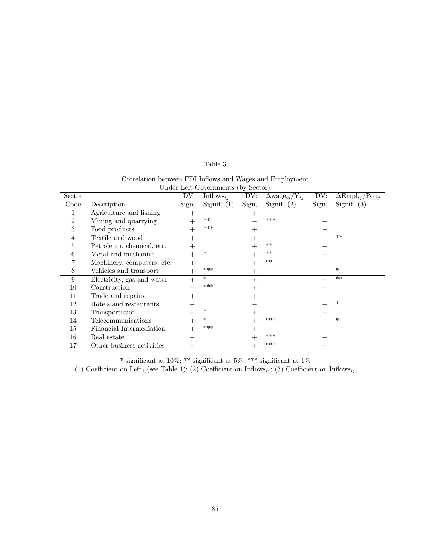## Table 3

|                                    | Correlation between FDI Inflows and Wages and Employment |  |  |  |  |  |
|------------------------------------|----------------------------------------------------------|--|--|--|--|--|
| Under Left Governments (by Sector) |                                                          |  |  |  |  |  |
|                                    |                                                          |  |  |  |  |  |

| Sector         |                            | DV:    | Inflows <sub>ij</sub> | DV:    | $\Delta \text{wage}_{ij}/Y_{ij}$ | DV:                | $\Delta \text{Empl}_{ij} / \text{Pop}_i$ |
|----------------|----------------------------|--------|-----------------------|--------|----------------------------------|--------------------|------------------------------------------|
| Code           | Description                | Sign,  | Signif.<br>(1)        | Sign,  | Signif. $(2)$                    | Sign,              | Signif. $(3)$                            |
|                | Agriculture and fishing    | $^{+}$ |                       | $^{+}$ |                                  | $^{+}$             |                                          |
| $\overline{2}$ | Mining and quarrying       | $^+$   | $***$                 |        | ***                              | $^{+}$             |                                          |
| 3              | Food products              | $^{+}$ | ***                   | $^{+}$ |                                  |                    |                                          |
| 4              | Textile and wood           | $+$    |                       | $^{+}$ |                                  |                    | $**$                                     |
| 5              | Petroleum, chemical, etc.  | $^{+}$ |                       | $^{+}$ | $**$                             | $^{+}$             |                                          |
| 6              | Metal and mechanical       | $^{+}$ | $\ast$                | $^{+}$ | $**$                             |                    |                                          |
|                | Machinery, computers, etc. | $^{+}$ |                       | $^{+}$ | $**$                             |                    |                                          |
| 8              | Vehicles and transport     | $+$    | ***                   | $^{+}$ |                                  | $^+$               | $\ast$                                   |
| 9              | Electricity, gas and water | $^{+}$ | $\ast$                | $^{+}$ |                                  | $^{+}$             | $**$                                     |
| 10             | Construction               |        | ***                   | $\pm$  |                                  | $\pm$              |                                          |
| 11             | Trade and repairs          | $^{+}$ |                       | $^{+}$ |                                  |                    |                                          |
| 12             | Hotels and restaurants     |        |                       |        |                                  |                    | $\ast$                                   |
| 13             | Transportation             |        | $\ast$                | $^+$   |                                  |                    |                                          |
| 14             | Telecommunications         | $\! +$ | $\ast$                | $^{+}$ | ***                              |                    | $\ast$                                   |
| 15             | Financial Intermediation   | $\! +$ | ***                   | $^{+}$ |                                  | $^{+}$             |                                          |
| 16             | Real estate                |        |                       |        | ***                              |                    |                                          |
| 17             | Other business activities  |        |                       | $^+$   | ***                              | $\hspace{0.1mm} +$ |                                          |

\* significant at 10%; \*\* significant at 5%; \*\*\* significant at 1%

(1) Coefficient on Left<sub>j</sub> (see Table 1); (2) Coefficient on Inflows<sub>ij</sub>; (3) Coefficient on Inflows<sub>ij</sub>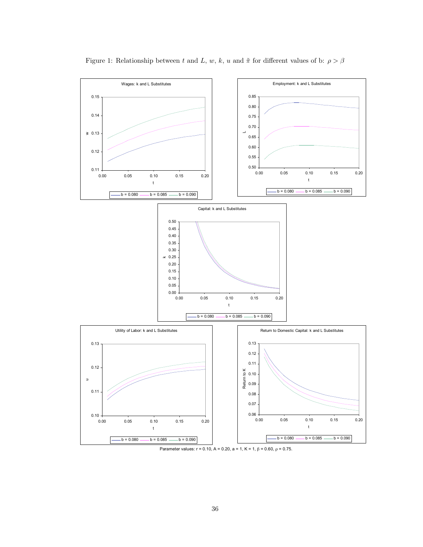

Figure 1: Relationship between  $t$  and  $L,$   $w,$   $k,$   $u$  and  $\tilde{\pi}$  for different values of b:  $\rho > \beta$ 

Parameter values:  $r = 0.10$ ,  $A = 0.20$ ,  $a = 1$ ,  $K = 1$ ,  $\beta = 0.60$ ,  $\rho = 0.75$ .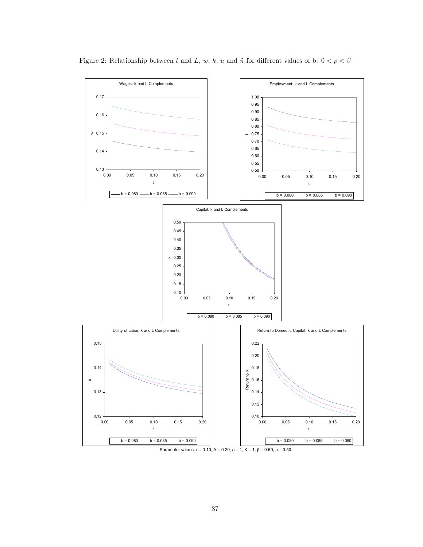

Figure 2: Relationship between  $t$  and  $L,$   $w,$   $k,$   $u$  and  $\tilde{\pi}$  for different values of b:  $0<\rho<\beta$ 

Parameter values:  $r = 0.10$ ,  $A = 0.20$ ,  $a = 1$ ,  $K = 1$ ,  $β = 0.60$ ,  $ρ = 0.50$ .